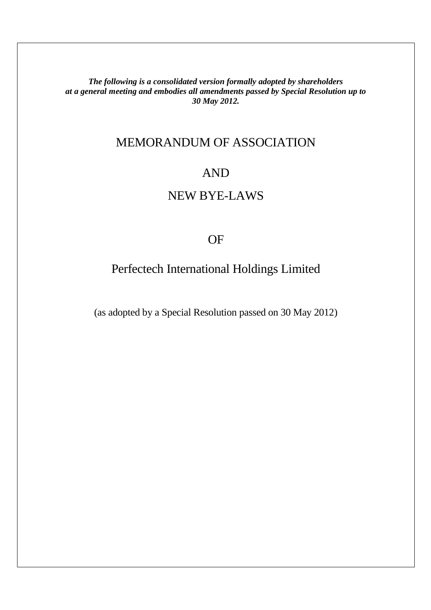*The following is a consolidated version formally adopted by shareholders at a general meeting and embodies all amendments passed by Special Resolution up to 30 May 2012.* 

# MEMORANDUM OF ASSOCIATION

# AND

# NEW BYE-LAWS

# OF

# Perfectech International Holdings Limited

(as adopted by a Special Resolution passed on 30 May 2012)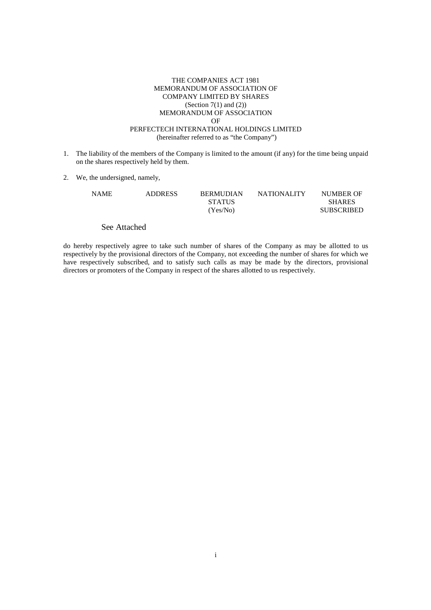#### THE COMPANIES ACT 1981 MEMORANDUM OF ASSOCIATION OF COMPANY LIMITED BY SHARES (Section  $7(1)$  and  $(2)$ ) MEMORANDUM OF ASSOCIATION OF PERFECTECH INTERNATIONAL HOLDINGS LIMITED (hereinafter referred to as "the Company")

- 1. The liability of the members of the Company is limited to the amount (if any) for the time being unpaid on the shares respectively held by them.
- 2. We, the undersigned, namely,

| NAME | <b>ADDRESS</b> | <b>BERMUDIAN</b> | <b>NATIONALITY</b> | NUMBER OF         |
|------|----------------|------------------|--------------------|-------------------|
|      |                | <b>STATUS</b>    |                    | <b>SHARES</b>     |
|      |                | (Yes/No)         |                    | <b>SUBSCRIBED</b> |

#### See Attached

do hereby respectively agree to take such number of shares of the Company as may be allotted to us respectively by the provisional directors of the Company, not exceeding the number of shares for which we have respectively subscribed, and to satisfy such calls as may be made by the directors, provisional directors or promoters of the Company in respect of the shares allotted to us respectively.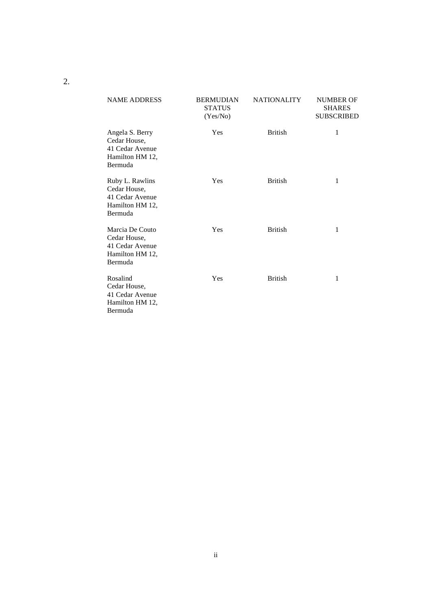| <b>NAME ADDRESS</b>                                                              | <b>BERMUDIAN</b><br><b>STATUS</b><br>(Yes/No) | <b>NATIONALITY</b> | <b>NUMBER OF</b><br><b>SHARES</b><br><b>SUBSCRIBED</b> |
|----------------------------------------------------------------------------------|-----------------------------------------------|--------------------|--------------------------------------------------------|
| Angela S. Berry<br>Cedar House,<br>41 Cedar Avenue<br>Hamilton HM 12,<br>Bermuda | Yes                                           | <b>British</b>     | 1                                                      |
| Ruby L. Rawlins<br>Cedar House.<br>41 Cedar Avenue<br>Hamilton HM 12,<br>Bermuda | Yes                                           | <b>British</b>     | 1                                                      |
| Marcia De Couto<br>Cedar House,<br>41 Cedar Avenue<br>Hamilton HM 12,<br>Bermuda | Yes                                           | <b>British</b>     | $\mathbf{1}$                                           |
| Rosalind<br>Cedar House,<br>41 Cedar Avenue<br>Hamilton HM 12,<br>Bermuda        | Yes                                           | <b>British</b>     | 1                                                      |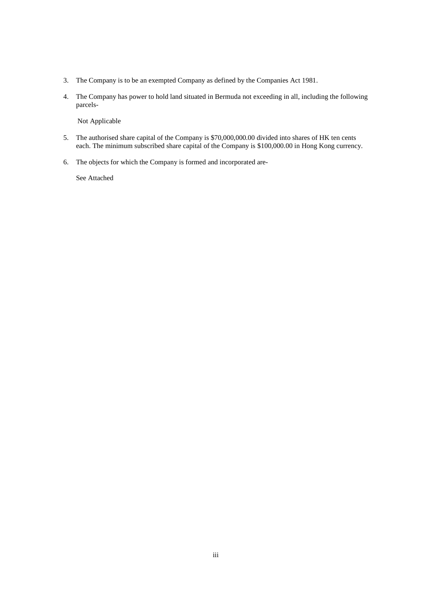- 3. The Company is to be an exempted Company as defined by the Companies Act 1981.
- 4. The Company has power to hold land situated in Bermuda not exceeding in all, including the following parcels-

Not Applicable

- 5. The authorised share capital of the Company is \$70,000,000.00 divided into shares of HK ten cents each. The minimum subscribed share capital of the Company is \$100,000.00 in Hong Kong currency.
- 6. The objects for which the Company is formed and incorporated are-

See Attached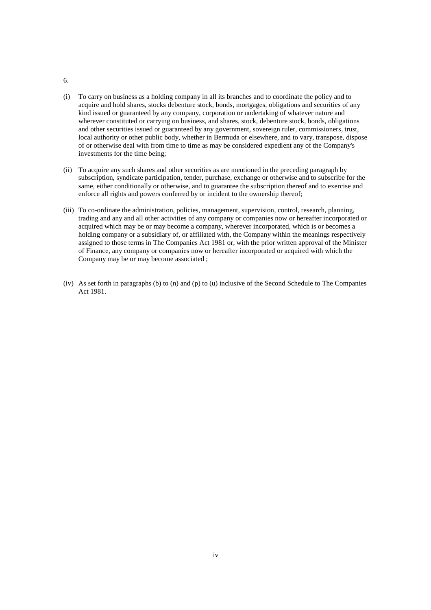- 6.
- (i) To carry on business as a holding company in all its branches and to coordinate the policy and to acquire and hold shares, stocks debenture stock, bonds, mortgages, obligations and securities of any kind issued or guaranteed by any company, corporation or undertaking of whatever nature and wherever constituted or carrying on business, and shares, stock, debenture stock, bonds, obligations and other securities issued or guaranteed by any government, sovereign ruler, commissioners, trust, local authority or other public body, whether in Bermuda or elsewhere, and to vary, transpose, dispose of or otherwise deal with from time to time as may be considered expedient any of the Company's investments for the time being;
- (ii) To acquire any such shares and other securities as are mentioned in the preceding paragraph by subscription, syndicate participation, tender, purchase, exchange or otherwise and to subscribe for the same, either conditionally or otherwise, and to guarantee the subscription thereof and to exercise and enforce all rights and powers conferred by or incident to the ownership thereof;
- (iii) To co-ordinate the administration, policies, management, supervision, control, research, planning, trading and any and all other activities of any company or companies now or hereafter incorporated or acquired which may be or may become a company, wherever incorporated, which is or becomes a holding company or a subsidiary of, or affiliated with, the Company within the meanings respectively assigned to those terms in The Companies Act 1981 or, with the prior written approval of the Minister of Finance, any company or companies now or hereafter incorporated or acquired with which the Company may be or may become associated ;
- (iv) As set forth in paragraphs (b) to (n) and (p) to (u) inclusive of the Second Schedule to The Companies Act 1981.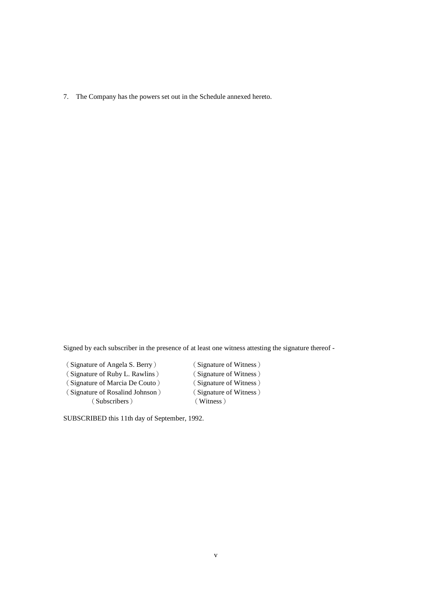7. The Company has the powers set out in the Schedule annexed hereto.

Signed by each subscriber in the presence of at least one witness attesting the signature thereof -

(Signature of Angela S. Berry) (Signature of Witness) (Signature of Ruby L. Rawlins) (Signature of Witness) (Signature of Marcia De Couto) (Signature of Witness) (Signature of Rosalind Johnson) (Signature of Witness) (Subscribers) (Witness)

SUBSCRIBED this 11th day of September, 1992.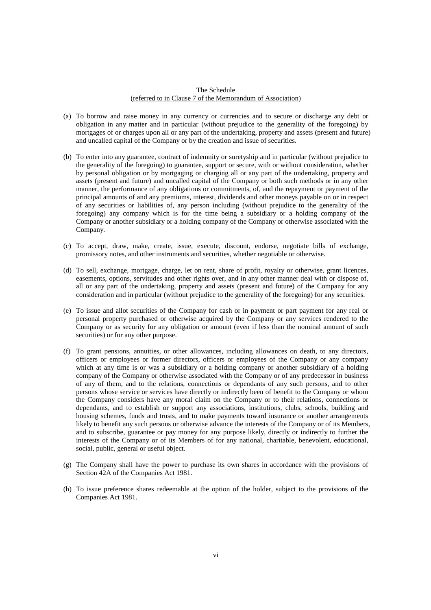#### The Schedule (referred to in Clause 7 of the Memorandum of Association)

- (a) To borrow and raise money in any currency or currencies and to secure or discharge any debt or obligation in any matter and in particular (without prejudice to the generality of the foregoing) by mortgages of or charges upon all or any part of the undertaking, property and assets (present and future) and uncalled capital of the Company or by the creation and issue of securities.
- (b) To enter into any guarantee, contract of indemnity or suretyship and in particular (without prejudice to the generality of the foregoing) to guarantee, support or secure, with or without consideration, whether by personal obligation or by mortgaging or charging all or any part of the undertaking, property and assets (present and future) and uncalled capital of the Company or both such methods or in any other manner, the performance of any obligations or commitments, of, and the repayment or payment of the principal amounts of and any premiums, interest, dividends and other moneys payable on or in respect of any securities or liabilities of, any person including (without prejudice to the generality of the foregoing) any company which is for the time being a subsidiary or a holding company of the Company or another subsidiary or a holding company of the Company or otherwise associated with the Company.
- (c) To accept, draw, make, create, issue, execute, discount, endorse, negotiate bills of exchange, promissory notes, and other instruments and securities, whether negotiable or otherwise.
- (d) To sell, exchange, mortgage, charge, let on rent, share of profit, royalty or otherwise, grant licences, easements, options, servitudes and other rights over, and in any other manner deal with or dispose of, all or any part of the undertaking, property and assets (present and future) of the Company for any consideration and in particular (without prejudice to the generality of the foregoing) for any securities.
- (e) To issue and allot securities of the Company for cash or in payment or part payment for any real or personal property purchased or otherwise acquired by the Company or any services rendered to the Company or as security for any obligation or amount (even if less than the nominal amount of such securities) or for any other purpose.
- (f) To grant pensions, annuities, or other allowances, including allowances on death, to any directors, officers or employees or former directors, officers or employees of the Company or any company which at any time is or was a subsidiary or a holding company or another subsidiary of a holding company of the Company or otherwise associated with the Company or of any predecessor in business of any of them, and to the relations, connections or dependants of any such persons, and to other persons whose service or services have directly or indirectly been of benefit to the Company or whom the Company considers have any moral claim on the Company or to their relations, connections or dependants, and to establish or support any associations, institutions, clubs, schools, building and housing schemes, funds and trusts, and to make payments toward insurance or another arrangements likely to benefit any such persons or otherwise advance the interests of the Company or of its Members, and to subscribe, guarantee or pay money for any purpose likely, directly or indirectly to further the interests of the Company or of its Members of for any national, charitable, benevolent, educational, social, public, general or useful object.
- (g) The Company shall have the power to purchase its own shares in accordance with the provisions of Section 42A of the Companies Act 1981.
- (h) To issue preference shares redeemable at the option of the holder, subject to the provisions of the Companies Act 1981.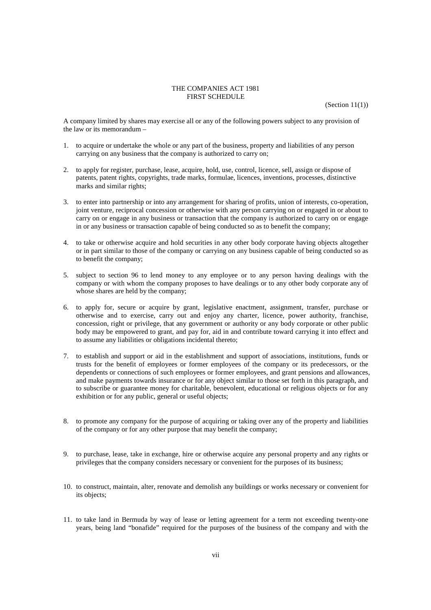#### THE COMPANIES ACT 1981 FIRST SCHEDULE

A company limited by shares may exercise all or any of the following powers subject to any provision of the law or its memorandum –

- 1. to acquire or undertake the whole or any part of the business, property and liabilities of any person carrying on any business that the company is authorized to carry on;
- 2. to apply for register, purchase, lease, acquire, hold, use, control, licence, sell, assign or dispose of patents, patent rights, copyrights, trade marks, formulae, licences, inventions, processes, distinctive marks and similar rights;
- 3. to enter into partnership or into any arrangement for sharing of profits, union of interests, co-operation, joint venture, reciprocal concession or otherwise with any person carrying on or engaged in or about to carry on or engage in any business or transaction that the company is authorized to carry on or engage in or any business or transaction capable of being conducted so as to benefit the company;
- 4. to take or otherwise acquire and hold securities in any other body corporate having objects altogether or in part similar to those of the company or carrying on any business capable of being conducted so as to benefit the company;
- 5. subject to section 96 to lend money to any employee or to any person having dealings with the company or with whom the company proposes to have dealings or to any other body corporate any of whose shares are held by the company:
- 6. to apply for, secure or acquire by grant, legislative enactment, assignment, transfer, purchase or otherwise and to exercise, carry out and enjoy any charter, licence, power authority, franchise, concession, right or privilege, that any government or authority or any body corporate or other public body may be empowered to grant, and pay for, aid in and contribute toward carrying it into effect and to assume any liabilities or obligations incidental thereto;
- 7. to establish and support or aid in the establishment and support of associations, institutions, funds or trusts for the benefit of employees or former employees of the company or its predecessors, or the dependents or connections of such employees or former employees, and grant pensions and allowances, and make payments towards insurance or for any object similar to those set forth in this paragraph, and to subscribe or guarantee money for charitable, benevolent, educational or religious objects or for any exhibition or for any public, general or useful objects;
- 8. to promote any company for the purpose of acquiring or taking over any of the property and liabilities of the company or for any other purpose that may benefit the company;
- 9. to purchase, lease, take in exchange, hire or otherwise acquire any personal property and any rights or privileges that the company considers necessary or convenient for the purposes of its business;
- 10. to construct, maintain, alter, renovate and demolish any buildings or works necessary or convenient for its objects;
- 11. to take land in Bermuda by way of lease or letting agreement for a term not exceeding twenty-one years, being land "bonafide" required for the purposes of the business of the company and with the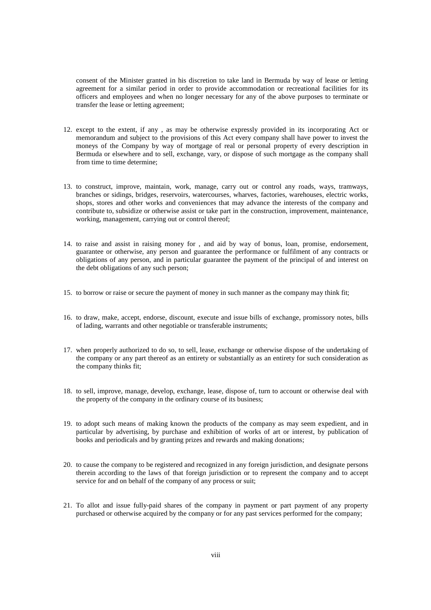consent of the Minister granted in his discretion to take land in Bermuda by way of lease or letting agreement for a similar period in order to provide accommodation or recreational facilities for its officers and employees and when no longer necessary for any of the above purposes to terminate or transfer the lease or letting agreement;

- 12. except to the extent, if any , as may be otherwise expressly provided in its incorporating Act or memorandum and subject to the provisions of this Act every company shall have power to invest the moneys of the Company by way of mortgage of real or personal property of every description in Bermuda or elsewhere and to sell, exchange, vary, or dispose of such mortgage as the company shall from time to time determine;
- 13. to construct, improve, maintain, work, manage, carry out or control any roads, ways, tramways, branches or sidings, bridges, reservoirs, watercourses, wharves, factories, warehouses, electric works, shops, stores and other works and conveniences that may advance the interests of the company and contribute to, subsidize or otherwise assist or take part in the construction, improvement, maintenance, working, management, carrying out or control thereof;
- 14. to raise and assist in raising money for , and aid by way of bonus, loan, promise, endorsement, guarantee or otherwise, any person and guarantee the performance or fulfilment of any contracts or obligations of any person, and in particular guarantee the payment of the principal of and interest on the debt obligations of any such person;
- 15. to borrow or raise or secure the payment of money in such manner as the company may think fit;
- 16. to draw, make, accept, endorse, discount, execute and issue bills of exchange, promissory notes, bills of lading, warrants and other negotiable or transferable instruments;
- 17. when properly authorized to do so, to sell, lease, exchange or otherwise dispose of the undertaking of the company or any part thereof as an entirety or substantially as an entirety for such consideration as the company thinks fit;
- 18. to sell, improve, manage, develop, exchange, lease, dispose of, turn to account or otherwise deal with the property of the company in the ordinary course of its business;
- 19. to adopt such means of making known the products of the company as may seem expedient, and in particular by advertising, by purchase and exhibition of works of art or interest, by publication of books and periodicals and by granting prizes and rewards and making donations;
- 20. to cause the company to be registered and recognized in any foreign jurisdiction, and designate persons therein according to the laws of that foreign jurisdiction or to represent the company and to accept service for and on behalf of the company of any process or suit;
- 21. To allot and issue fully-paid shares of the company in payment or part payment of any property purchased or otherwise acquired by the company or for any past services performed for the company;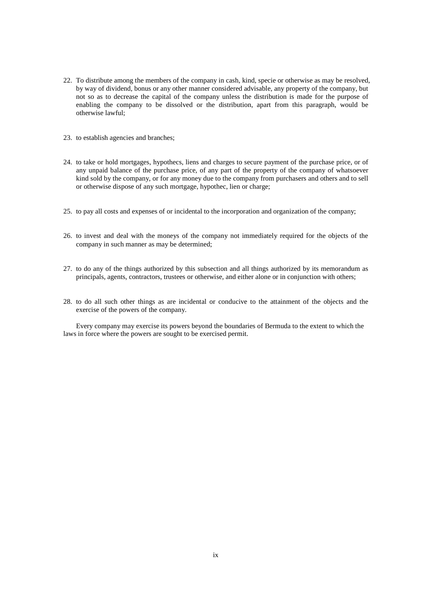- 22. To distribute among the members of the company in cash, kind, specie or otherwise as may be resolved, by way of dividend, bonus or any other manner considered advisable, any property of the company, but not so as to decrease the capital of the company unless the distribution is made for the purpose of enabling the company to be dissolved or the distribution, apart from this paragraph, would be otherwise lawful;
- 23. to establish agencies and branches;
- 24. to take or hold mortgages, hypothecs, liens and charges to secure payment of the purchase price, or of any unpaid balance of the purchase price, of any part of the property of the company of whatsoever kind sold by the company, or for any money due to the company from purchasers and others and to sell or otherwise dispose of any such mortgage, hypothec, lien or charge;
- 25. to pay all costs and expenses of or incidental to the incorporation and organization of the company;
- 26. to invest and deal with the moneys of the company not immediately required for the objects of the company in such manner as may be determined;
- 27. to do any of the things authorized by this subsection and all things authorized by its memorandum as principals, agents, contractors, trustees or otherwise, and either alone or in conjunction with others;
- 28. to do all such other things as are incidental or conducive to the attainment of the objects and the exercise of the powers of the company.

Every company may exercise its powers beyond the boundaries of Bermuda to the extent to which the laws in force where the powers are sought to be exercised permit.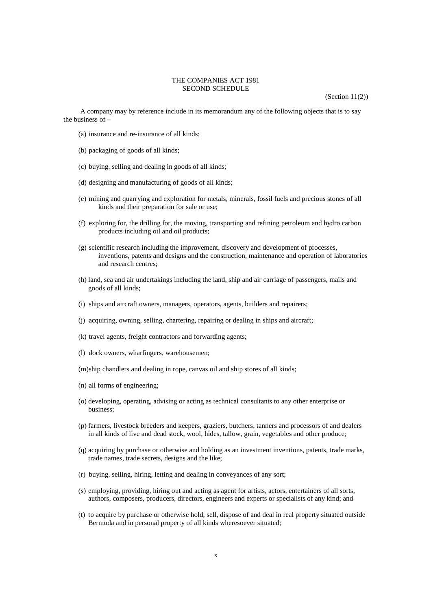#### THE COMPANIES ACT 1981 SECOND SCHEDULE

 $(Section 11(2))$ 

A company may by reference include in its memorandum any of the following objects that is to say the business of –

- (a) insurance and re-insurance of all kinds;
- (b) packaging of goods of all kinds;
- (c) buying, selling and dealing in goods of all kinds;
- (d) designing and manufacturing of goods of all kinds;
- (e) mining and quarrying and exploration for metals, minerals, fossil fuels and precious stones of all kinds and their preparation for sale or use;
- (f) exploring for, the drilling for, the moving, transporting and refining petroleum and hydro carbon products including oil and oil products;
- (g) scientific research including the improvement, discovery and development of processes, inventions, patents and designs and the construction, maintenance and operation of laboratories and research centres;
- (h) land, sea and air undertakings including the land, ship and air carriage of passengers, mails and goods of all kinds;
- (i) ships and aircraft owners, managers, operators, agents, builders and repairers;
- (j) acquiring, owning, selling, chartering, repairing or dealing in ships and aircraft;
- (k) travel agents, freight contractors and forwarding agents;
- (l) dock owners, wharfingers, warehousemen;
- (m) ship chandlers and dealing in rope, canvas oil and ship stores of all kinds;
- (n) all forms of engineering;
- (o) developing, operating, advising or acting as technical consultants to any other enterprise or business;
- (p) farmers, livestock breeders and keepers, graziers, butchers, tanners and processors of and dealers in all kinds of live and dead stock, wool, hides, tallow, grain, vegetables and other produce;
- (q) acquiring by purchase or otherwise and holding as an investment inventions, patents, trade marks, trade names, trade secrets, designs and the like;
- (r) buying, selling, hiring, letting and dealing in conveyances of any sort;
- (s) employing, providing, hiring out and acting as agent for artists, actors, entertainers of all sorts, authors, composers, producers, directors, engineers and experts or specialists of any kind; and
- (t) to acquire by purchase or otherwise hold, sell, dispose of and deal in real property situated outside Bermuda and in personal property of all kinds wheresoever situated;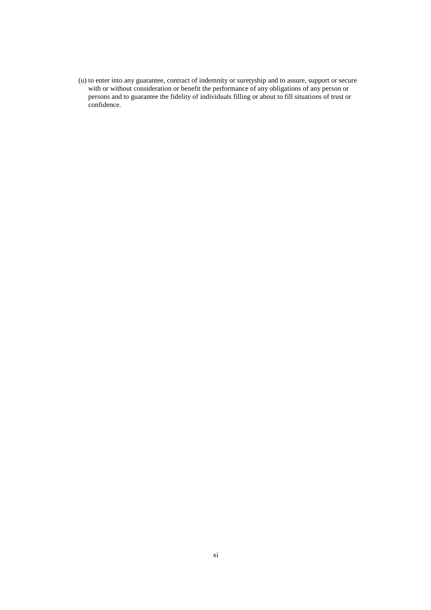(u) to enter into any guarantee, contract of indemnity or suretyship and to assure, support or secure with or without consideration or benefit the performance of any obligations of any person or persons and to guarantee the fidelity of individuals filling or about to fill situations of trust or confidence.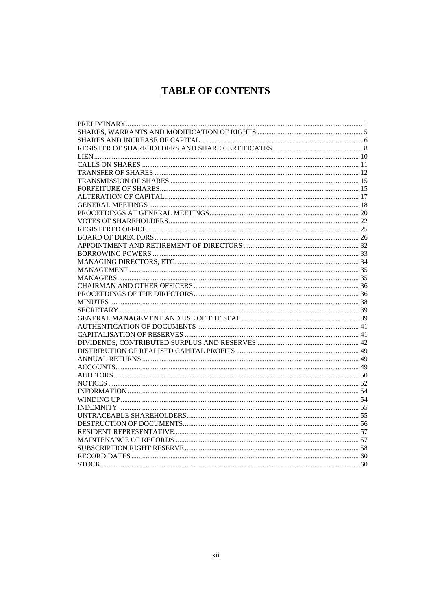# **TABLE OF CONTENTS**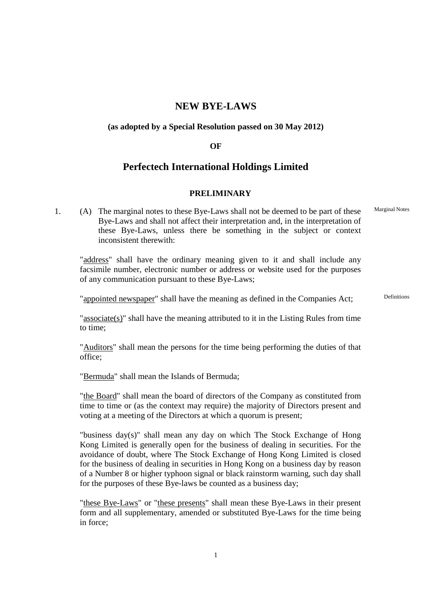# **NEW BYE-LAWS**

## **(as adopted by a Special Resolution passed on 30 May 2012)**

#### **OF**

# **Perfectech International Holdings Limited**

#### **PRELIMINARY**

 1. (A) The marginal notes to these Bye-Laws shall not be deemed to be part of these Bye-Laws and shall not affect their interpretation and, in the interpretation of these Bye-Laws, unless there be something in the subject or context inconsistent therewith: Marginal Notes

 "address" shall have the ordinary meaning given to it and shall include any facsimile number, electronic number or address or website used for the purposes of any communication pursuant to these Bye-Laws;

"appointed newspaper" shall have the meaning as defined in the Companies Act; Definitions

"associate(s)" shall have the meaning attributed to it in the Listing Rules from time to time;

 "Auditors" shall mean the persons for the time being performing the duties of that office;

"Bermuda" shall mean the Islands of Bermuda;

 "the Board" shall mean the board of directors of the Company as constituted from time to time or (as the context may require) the majority of Directors present and voting at a meeting of the Directors at which a quorum is present;

"business day(s)" shall mean any day on which The Stock Exchange of Hong Kong Limited is generally open for the business of dealing in securities. For the avoidance of doubt, where The Stock Exchange of Hong Kong Limited is closed for the business of dealing in securities in Hong Kong on a business day by reason of a Number 8 or higher typhoon signal or black rainstorm warning, such day shall for the purposes of these Bye-laws be counted as a business day;

"these Bye-Laws" or "these presents" shall mean these Bye-Laws in their present form and all supplementary, amended or substituted Bye-Laws for the time being in force;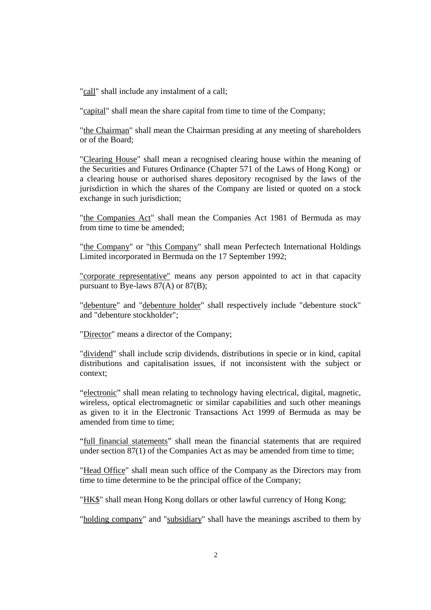"call" shall include any instalment of a call;

"capital" shall mean the share capital from time to time of the Company;

"the Chairman" shall mean the Chairman presiding at any meeting of shareholders or of the Board;

"Clearing House" shall mean a recognised clearing house within the meaning of the Securities and Futures Ordinance (Chapter 571 of the Laws of Hong Kong) or a clearing house or authorised shares depository recognised by the laws of the jurisdiction in which the shares of the Company are listed or quoted on a stock exchange in such jurisdiction;

"the Companies Act" shall mean the Companies Act 1981 of Bermuda as may from time to time be amended;

"the Company" or "this Company" shall mean Perfectech International Holdings Limited incorporated in Bermuda on the 17 September 1992;

"corporate representative" means any person appointed to act in that capacity pursuant to Bye-laws 87(A) or 87(B);

"debenture" and "debenture holder" shall respectively include "debenture stock" and "debenture stockholder";

"Director" means a director of the Company;

"dividend" shall include scrip dividends, distributions in specie or in kind, capital distributions and capitalisation issues, if not inconsistent with the subject or context;

"electronic" shall mean relating to technology having electrical, digital, magnetic, wireless, optical electromagnetic or similar capabilities and such other meanings as given to it in the Electronic Transactions Act 1999 of Bermuda as may be amended from time to time;

"full financial statements" shall mean the financial statements that are required under section 87(1) of the Companies Act as may be amended from time to time;

"Head Office" shall mean such office of the Company as the Directors may from time to time determine to be the principal office of the Company;

"HK\$" shall mean Hong Kong dollars or other lawful currency of Hong Kong;

"holding company" and "subsidiary" shall have the meanings ascribed to them by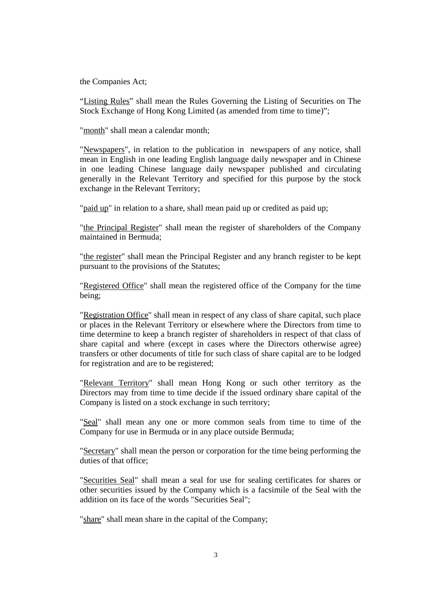the Companies Act;

"Listing Rules" shall mean the Rules Governing the Listing of Securities on The Stock Exchange of Hong Kong Limited (as amended from time to time)";

"month" shall mean a calendar month;

"Newspapers", in relation to the publication in newspapers of any notice, shall mean in English in one leading English language daily newspaper and in Chinese in one leading Chinese language daily newspaper published and circulating generally in the Relevant Territory and specified for this purpose by the stock exchange in the Relevant Territory;

"paid up" in relation to a share, shall mean paid up or credited as paid up;

"the Principal Register" shall mean the register of shareholders of the Company maintained in Bermuda;

"the register" shall mean the Principal Register and any branch register to be kept pursuant to the provisions of the Statutes;

"Registered Office" shall mean the registered office of the Company for the time being;

"Registration Office" shall mean in respect of any class of share capital, such place or places in the Relevant Territory or elsewhere where the Directors from time to time determine to keep a branch register of shareholders in respect of that class of share capital and where (except in cases where the Directors otherwise agree) transfers or other documents of title for such class of share capital are to be lodged for registration and are to be registered;

"Relevant Territory" shall mean Hong Kong or such other territory as the Directors may from time to time decide if the issued ordinary share capital of the Company is listed on a stock exchange in such territory;

"Seal" shall mean any one or more common seals from time to time of the Company for use in Bermuda or in any place outside Bermuda;

"Secretary" shall mean the person or corporation for the time being performing the duties of that office;

"Securities Seal" shall mean a seal for use for sealing certificates for shares or other securities issued by the Company which is a facsimile of the Seal with the addition on its face of the words "Securities Seal";

"share" shall mean share in the capital of the Company;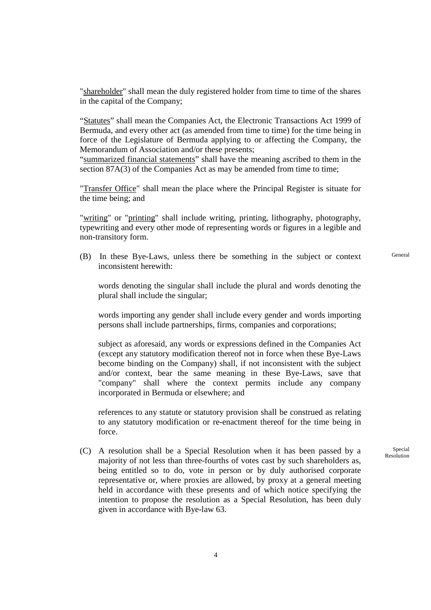"shareholder" shall mean the duly registered holder from time to time of the shares in the capital of the Company;

"Statutes" shall mean the Companies Act, the Electronic Transactions Act 1999 of Bermuda, and every other act (as amended from time to time) for the time being in force of the Legislature of Bermuda applying to or affecting the Company, the Memorandum of Association and/or these presents;

"summarized financial statements" shall have the meaning ascribed to them in the section 87A(3) of the Companies Act as may be amended from time to time;

"Transfer Office" shall mean the place where the Principal Register is situate for the time being; and

"writing" or "printing" shall include writing, printing, lithography, photography, typewriting and every other mode of representing words or figures in a legible and non-transitory form.

 (B) In these Bye-Laws, unless there be something in the subject or context inconsistent herewith:

General

 words denoting the singular shall include the plural and words denoting the plural shall include the singular;

 words importing any gender shall include every gender and words importing persons shall include partnerships, firms, companies and corporations;

subject as aforesaid, any words or expressions defined in the Companies Act (except any statutory modification thereof not in force when these Bye-Laws become binding on the Company) shall, if not inconsistent with the subject and/or context, bear the same meaning in these Bye-Laws, save that "company" shall where the context permits include any company incorporated in Bermuda or elsewhere; and

references to any statute or statutory provision shall be construed as relating to any statutory modification or re-enactment thereof for the time being in force.

 (C) A resolution shall be a Special Resolution when it has been passed by a majority of not less than three-fourths of votes cast by such shareholders as, being entitled so to do, vote in person or by duly authorised corporate representative or, where proxies are allowed, by proxy at a general meeting held in accordance with these presents and of which notice specifying the intention to propose the resolution as a Special Resolution, has been duly given in accordance with Bye-law 63.

Special Resolution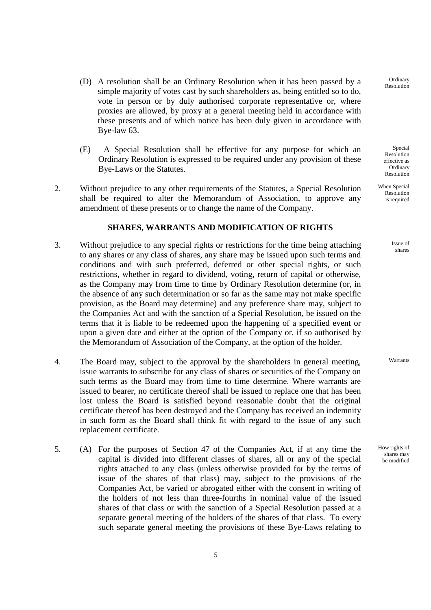- (D) A resolution shall be an Ordinary Resolution when it has been passed by a simple majority of votes cast by such shareholders as, being entitled so to do, vote in person or by duly authorised corporate representative or, where proxies are allowed, by proxy at a general meeting held in accordance with these presents and of which notice has been duly given in accordance with Bye-law 63.
- (E) A Special Resolution shall be effective for any purpose for which an Ordinary Resolution is expressed to be required under any provision of these Bye-Laws or the Statutes.
- 2. Without prejudice to any other requirements of the Statutes, a Special Resolution shall be required to alter the Memorandum of Association, to approve any amendment of these presents or to change the name of the Company.

#### **SHARES, WARRANTS AND MODIFICATION OF RIGHTS**

- 3. Without prejudice to any special rights or restrictions for the time being attaching to any shares or any class of shares, any share may be issued upon such terms and conditions and with such preferred, deferred or other special rights, or such restrictions, whether in regard to dividend, voting, return of capital or otherwise, as the Company may from time to time by Ordinary Resolution determine (or, in the absence of any such determination or so far as the same may not make specific provision, as the Board may determine) and any preference share may, subject to the Companies Act and with the sanction of a Special Resolution, be issued on the terms that it is liable to be redeemed upon the happening of a specified event or upon a given date and either at the option of the Company or, if so authorised by the Memorandum of Association of the Company, at the option of the holder.
- 4. The Board may, subject to the approval by the shareholders in general meeting, issue warrants to subscribe for any class of shares or securities of the Company on such terms as the Board may from time to time determine. Where warrants are issued to bearer, no certificate thereof shall be issued to replace one that has been lost unless the Board is satisfied beyond reasonable doubt that the original certificate thereof has been destroyed and the Company has received an indemnity in such form as the Board shall think fit with regard to the issue of any such replacement certificate.
- 5. (A) For the purposes of Section 47 of the Companies Act, if at any time the capital is divided into different classes of shares, all or any of the special rights attached to any class (unless otherwise provided for by the terms of issue of the shares of that class) may, subject to the provisions of the Companies Act, be varied or abrogated either with the consent in writing of the holders of not less than three-fourths in nominal value of the issued shares of that class or with the sanction of a Special Resolution passed at a separate general meeting of the holders of the shares of that class. To every such separate general meeting the provisions of these Bye-Laws relating to

**Ordinary** Resolution

Special Resolution effective as Ordinary Resolution

When Special Resolution is required

> Issue of shares

Warrants

How rights of shares may be modified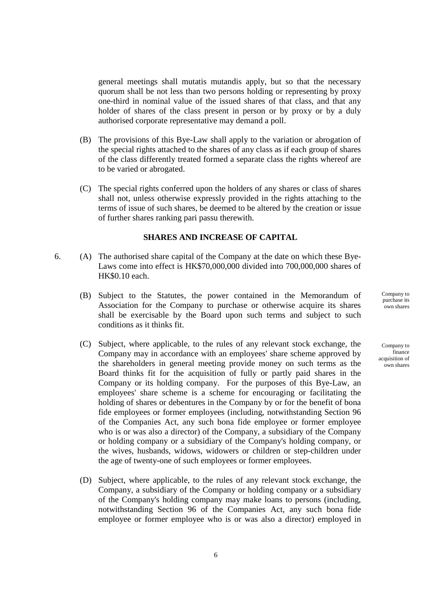general meetings shall mutatis mutandis apply, but so that the necessary quorum shall be not less than two persons holding or representing by proxy one-third in nominal value of the issued shares of that class, and that any holder of shares of the class present in person or by proxy or by a duly authorised corporate representative may demand a poll.

- (B) The provisions of this Bye-Law shall apply to the variation or abrogation of the special rights attached to the shares of any class as if each group of shares of the class differently treated formed a separate class the rights whereof are to be varied or abrogated.
- (C) The special rights conferred upon the holders of any shares or class of shares shall not, unless otherwise expressly provided in the rights attaching to the terms of issue of such shares, be deemed to be altered by the creation or issue of further shares ranking pari passu therewith.

## **SHARES AND INCREASE OF CAPITAL**

- 6. (A) The authorised share capital of the Company at the date on which these Bye-Laws come into effect is HK\$70,000,000 divided into 700,000,000 shares of HK\$0.10 each.
	- (B) Subject to the Statutes, the power contained in the Memorandum of Association for the Company to purchase or otherwise acquire its shares shall be exercisable by the Board upon such terms and subject to such conditions as it thinks fit.
	- (C) Subject, where applicable, to the rules of any relevant stock exchange, the Company may in accordance with an employees' share scheme approved by the shareholders in general meeting provide money on such terms as the Board thinks fit for the acquisition of fully or partly paid shares in the Company or its holding company. For the purposes of this Bye-Law, an employees' share scheme is a scheme for encouraging or facilitating the holding of shares or debentures in the Company by or for the benefit of bona fide employees or former employees (including, notwithstanding Section 96 of the Companies Act, any such bona fide employee or former employee who is or was also a director) of the Company, a subsidiary of the Company or holding company or a subsidiary of the Company's holding company, or the wives, husbands, widows, widowers or children or step-children under the age of twenty-one of such employees or former employees.
	- (D) Subject, where applicable, to the rules of any relevant stock exchange, the Company, a subsidiary of the Company or holding company or a subsidiary of the Company's holding company may make loans to persons (including, notwithstanding Section 96 of the Companies Act, any such bona fide employee or former employee who is or was also a director) employed in

Company to purchase its own shares

Company to finance acquisition of own shares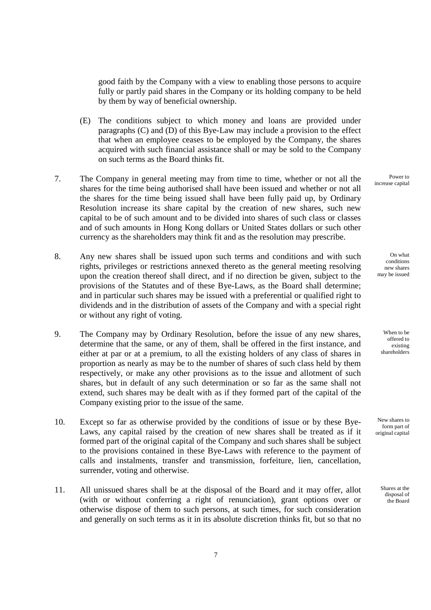good faith by the Company with a view to enabling those persons to acquire fully or partly paid shares in the Company or its holding company to be held by them by way of beneficial ownership.

- (E) The conditions subject to which money and loans are provided under paragraphs (C) and (D) of this Bye-Law may include a provision to the effect that when an employee ceases to be employed by the Company, the shares acquired with such financial assistance shall or may be sold to the Company on such terms as the Board thinks fit.
- 7. The Company in general meeting may from time to time, whether or not all the shares for the time being authorised shall have been issued and whether or not all the shares for the time being issued shall have been fully paid up, by Ordinary Resolution increase its share capital by the creation of new shares, such new capital to be of such amount and to be divided into shares of such class or classes and of such amounts in Hong Kong dollars or United States dollars or such other currency as the shareholders may think fit and as the resolution may prescribe.
- 8. Any new shares shall be issued upon such terms and conditions and with such rights, privileges or restrictions annexed thereto as the general meeting resolving upon the creation thereof shall direct, and if no direction be given, subject to the provisions of the Statutes and of these Bye-Laws, as the Board shall determine; and in particular such shares may be issued with a preferential or qualified right to dividends and in the distribution of assets of the Company and with a special right or without any right of voting.
- 9. The Company may by Ordinary Resolution, before the issue of any new shares, determine that the same, or any of them, shall be offered in the first instance, and either at par or at a premium, to all the existing holders of any class of shares in proportion as nearly as may be to the number of shares of such class held by them respectively, or make any other provisions as to the issue and allotment of such shares, but in default of any such determination or so far as the same shall not extend, such shares may be dealt with as if they formed part of the capital of the Company existing prior to the issue of the same.
- 10. Except so far as otherwise provided by the conditions of issue or by these Bye-Laws, any capital raised by the creation of new shares shall be treated as if it formed part of the original capital of the Company and such shares shall be subject to the provisions contained in these Bye-Laws with reference to the payment of calls and instalments, transfer and transmission, forfeiture, lien, cancellation, surrender, voting and otherwise.
- 11. All unissued shares shall be at the disposal of the Board and it may offer, allot (with or without conferring a right of renunciation), grant options over or otherwise dispose of them to such persons, at such times, for such consideration and generally on such terms as it in its absolute discretion thinks fit, but so that no

Power to increase capital

On what conditions new shares may be issued

When to be offered to existing shareholders

New shares to form part of original capital

> Shares at the disposal of the Board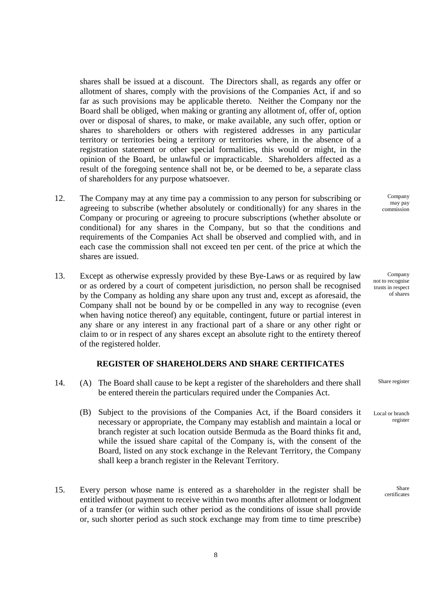shares shall be issued at a discount. The Directors shall, as regards any offer or allotment of shares, comply with the provisions of the Companies Act, if and so far as such provisions may be applicable thereto. Neither the Company nor the Board shall be obliged, when making or granting any allotment of, offer of, option over or disposal of shares, to make, or make available, any such offer, option or shares to shareholders or others with registered addresses in any particular territory or territories being a territory or territories where, in the absence of a registration statement or other special formalities, this would or might, in the opinion of the Board, be unlawful or impracticable. Shareholders affected as a result of the foregoing sentence shall not be, or be deemed to be, a separate class of shareholders for any purpose whatsoever.

- 12. The Company may at any time pay a commission to any person for subscribing or agreeing to subscribe (whether absolutely or conditionally) for any shares in the Company or procuring or agreeing to procure subscriptions (whether absolute or conditional) for any shares in the Company, but so that the conditions and requirements of the Companies Act shall be observed and complied with, and in each case the commission shall not exceed ten per cent. of the price at which the shares are issued.
- 13. Except as otherwise expressly provided by these Bye-Laws or as required by law or as ordered by a court of competent jurisdiction, no person shall be recognised by the Company as holding any share upon any trust and, except as aforesaid, the Company shall not be bound by or be compelled in any way to recognise (even when having notice thereof) any equitable, contingent, future or partial interest in any share or any interest in any fractional part of a share or any other right or claim to or in respect of any shares except an absolute right to the entirety thereof of the registered holder.

#### **REGISTER OF SHAREHOLDERS AND SHARE CERTIFICATES**

- 14. (A) The Board shall cause to be kept a register of the shareholders and there shall be entered therein the particulars required under the Companies Act.
	- (B) Subject to the provisions of the Companies Act, if the Board considers it necessary or appropriate, the Company may establish and maintain a local or branch register at such location outside Bermuda as the Board thinks fit and, while the issued share capital of the Company is, with the consent of the Board, listed on any stock exchange in the Relevant Territory, the Company shall keep a branch register in the Relevant Territory.
- 15. Every person whose name is entered as a shareholder in the register shall be entitled without payment to receive within two months after allotment or lodgment of a transfer (or within such other period as the conditions of issue shall provide or, such shorter period as such stock exchange may from time to time prescribe)

Company may pay commission

Company not to recognise trusts in respect of shares

Share register

Local or branch register

> Share certificates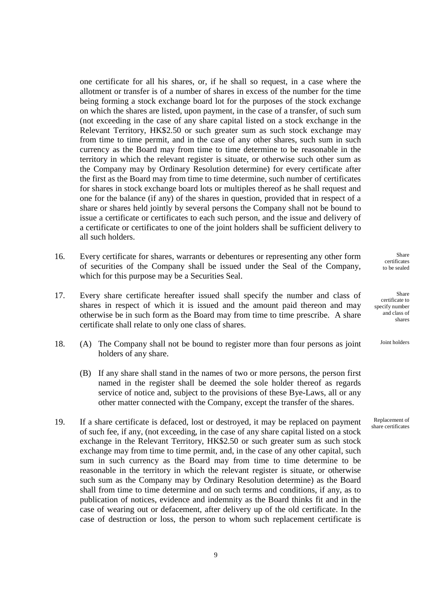one certificate for all his shares, or, if he shall so request, in a case where the allotment or transfer is of a number of shares in excess of the number for the time being forming a stock exchange board lot for the purposes of the stock exchange on which the shares are listed, upon payment, in the case of a transfer, of such sum (not exceeding in the case of any share capital listed on a stock exchange in the Relevant Territory, HK\$2.50 or such greater sum as such stock exchange may from time to time permit, and in the case of any other shares, such sum in such currency as the Board may from time to time determine to be reasonable in the territory in which the relevant register is situate, or otherwise such other sum as the Company may by Ordinary Resolution determine) for every certificate after the first as the Board may from time to time determine, such number of certificates for shares in stock exchange board lots or multiples thereof as he shall request and one for the balance (if any) of the shares in question, provided that in respect of a share or shares held jointly by several persons the Company shall not be bound to issue a certificate or certificates to each such person, and the issue and delivery of a certificate or certificates to one of the joint holders shall be sufficient delivery to all such holders.

- 16. Every certificate for shares, warrants or debentures or representing any other form of securities of the Company shall be issued under the Seal of the Company, which for this purpose may be a Securities Seal.
- 17. Every share certificate hereafter issued shall specify the number and class of shares in respect of which it is issued and the amount paid thereon and may otherwise be in such form as the Board may from time to time prescribe. A share certificate shall relate to only one class of shares.
- 18. (A) The Company shall not be bound to register more than four persons as joint holders of any share.
	- (B) If any share shall stand in the names of two or more persons, the person first named in the register shall be deemed the sole holder thereof as regards service of notice and, subject to the provisions of these Bye-Laws, all or any other matter connected with the Company, except the transfer of the shares.
- 19. If a share certificate is defaced, lost or destroyed, it may be replaced on payment of such fee, if any, (not exceeding, in the case of any share capital listed on a stock exchange in the Relevant Territory, HK\$2.50 or such greater sum as such stock exchange may from time to time permit, and, in the case of any other capital, such sum in such currency as the Board may from time to time determine to be reasonable in the territory in which the relevant register is situate, or otherwise such sum as the Company may by Ordinary Resolution determine) as the Board shall from time to time determine and on such terms and conditions, if any, as to publication of notices, evidence and indemnity as the Board thinks fit and in the case of wearing out or defacement, after delivery up of the old certificate. In the case of destruction or loss, the person to whom such replacement certificate is

Share certificates to be sealed

Share certificate to specify number and class of shares

Joint holders

Replacement of share certificates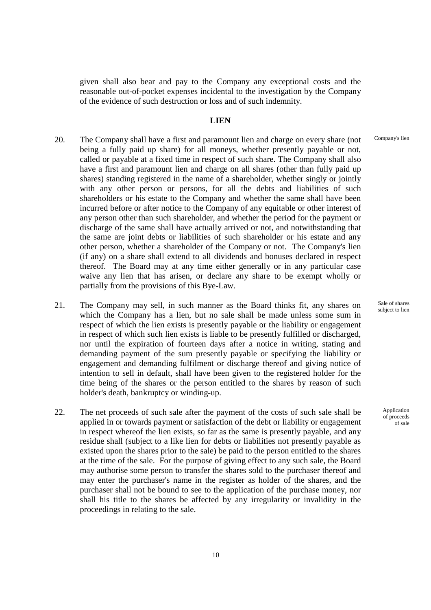given shall also bear and pay to the Company any exceptional costs and the reasonable out-of-pocket expenses incidental to the investigation by the Company of the evidence of such destruction or loss and of such indemnity.

#### **LIEN**

- 20. The Company shall have a first and paramount lien and charge on every share (not being a fully paid up share) for all moneys, whether presently payable or not, called or payable at a fixed time in respect of such share. The Company shall also have a first and paramount lien and charge on all shares (other than fully paid up shares) standing registered in the name of a shareholder, whether singly or jointly with any other person or persons, for all the debts and liabilities of such shareholders or his estate to the Company and whether the same shall have been incurred before or after notice to the Company of any equitable or other interest of any person other than such shareholder, and whether the period for the payment or discharge of the same shall have actually arrived or not, and notwithstanding that the same are joint debts or liabilities of such shareholder or his estate and any other person, whether a shareholder of the Company or not. The Company's lien (if any) on a share shall extend to all dividends and bonuses declared in respect thereof. The Board may at any time either generally or in any particular case waive any lien that has arisen, or declare any share to be exempt wholly or partially from the provisions of this Bye-Law.
- 21. The Company may sell, in such manner as the Board thinks fit, any shares on which the Company has a lien, but no sale shall be made unless some sum in respect of which the lien exists is presently payable or the liability or engagement in respect of which such lien exists is liable to be presently fulfilled or discharged, nor until the expiration of fourteen days after a notice in writing, stating and demanding payment of the sum presently payable or specifying the liability or engagement and demanding fulfilment or discharge thereof and giving notice of intention to sell in default, shall have been given to the registered holder for the time being of the shares or the person entitled to the shares by reason of such holder's death, bankruptcy or winding-up.
- 22. The net proceeds of such sale after the payment of the costs of such sale shall be applied in or towards payment or satisfaction of the debt or liability or engagement in respect whereof the lien exists, so far as the same is presently payable, and any residue shall (subject to a like lien for debts or liabilities not presently payable as existed upon the shares prior to the sale) be paid to the person entitled to the shares at the time of the sale. For the purpose of giving effect to any such sale, the Board may authorise some person to transfer the shares sold to the purchaser thereof and may enter the purchaser's name in the register as holder of the shares, and the purchaser shall not be bound to see to the application of the purchase money, nor shall his title to the shares be affected by any irregularity or invalidity in the proceedings in relating to the sale.

Company's lien

Sale of shares subject to lien

> Application of proceeds of sale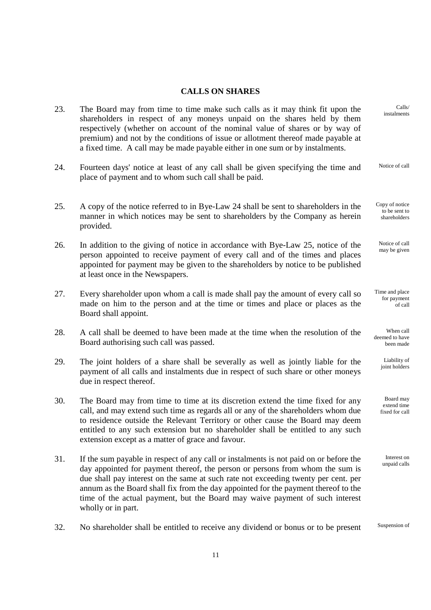# **CALLS ON SHARES**

| Calls/<br>instalments                           | The Board may from time to time make such calls as it may think fit upon the<br>shareholders in respect of any moneys unpaid on the shares held by them<br>respectively (whether on account of the nominal value of shares or by way of<br>premium) and not by the conditions of issue or allotment thereof made payable at<br>a fixed time. A call may be made payable either in one sum or by instalments.                                             | 23. |
|-------------------------------------------------|----------------------------------------------------------------------------------------------------------------------------------------------------------------------------------------------------------------------------------------------------------------------------------------------------------------------------------------------------------------------------------------------------------------------------------------------------------|-----|
| Notice of call                                  | Fourteen days' notice at least of any call shall be given specifying the time and<br>place of payment and to whom such call shall be paid.                                                                                                                                                                                                                                                                                                               | 24. |
| Copy of notice<br>to be sent to<br>shareholders | A copy of the notice referred to in Bye-Law 24 shall be sent to shareholders in the<br>manner in which notices may be sent to shareholders by the Company as herein<br>provided.                                                                                                                                                                                                                                                                         | 25. |
| Notice of call<br>may be given                  | In addition to the giving of notice in accordance with Bye-Law 25, notice of the<br>person appointed to receive payment of every call and of the times and places<br>appointed for payment may be given to the shareholders by notice to be published<br>at least once in the Newspapers.                                                                                                                                                                | 26. |
| Time and place<br>for payment<br>of call        | Every shareholder upon whom a call is made shall pay the amount of every call so<br>made on him to the person and at the time or times and place or places as the<br>Board shall appoint.                                                                                                                                                                                                                                                                | 27. |
| When call<br>deemed to have<br>been made        | A call shall be deemed to have been made at the time when the resolution of the<br>Board authorising such call was passed.                                                                                                                                                                                                                                                                                                                               | 28. |
| Liability of<br>joint holders                   | The joint holders of a share shall be severally as well as jointly liable for the<br>payment of all calls and instalments due in respect of such share or other moneys<br>due in respect thereof.                                                                                                                                                                                                                                                        | 29. |
| Board may<br>extend time<br>fixed for call      | The Board may from time to time at its discretion extend the time fixed for any<br>call, and may extend such time as regards all or any of the shareholders whom due<br>to residence outside the Relevant Territory or other cause the Board may deem<br>entitled to any such extension but no shareholder shall be entitled to any such<br>extension except as a matter of grace and favour.                                                            | 30. |
| Interest on<br>unpaid calls                     | If the sum payable in respect of any call or instalments is not paid on or before the<br>day appointed for payment thereof, the person or persons from whom the sum is<br>due shall pay interest on the same at such rate not exceeding twenty per cent. per<br>annum as the Board shall fix from the day appointed for the payment thereof to the<br>time of the actual payment, but the Board may waive payment of such interest<br>wholly or in part. | 31. |

32. No shareholder shall be entitled to receive any dividend or bonus or to be present Suspension of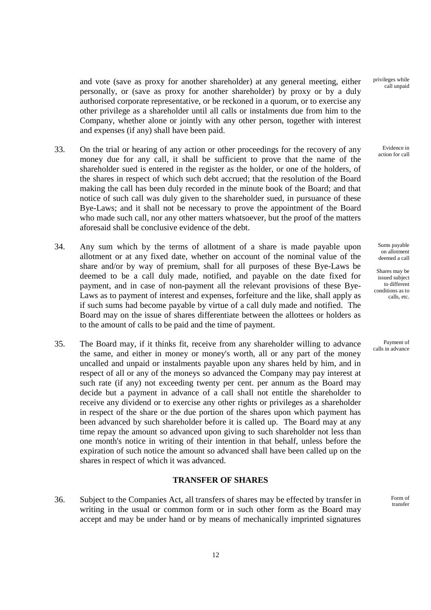and vote (save as proxy for another shareholder) at any general meeting, either personally, or (save as proxy for another shareholder) by proxy or by a duly authorised corporate representative, or be reckoned in a quorum, or to exercise any other privilege as a shareholder until all calls or instalments due from him to the Company, whether alone or jointly with any other person, together with interest and expenses (if any) shall have been paid.

- 33. On the trial or hearing of any action or other proceedings for the recovery of any money due for any call, it shall be sufficient to prove that the name of the shareholder sued is entered in the register as the holder, or one of the holders, of the shares in respect of which such debt accrued; that the resolution of the Board making the call has been duly recorded in the minute book of the Board; and that notice of such call was duly given to the shareholder sued, in pursuance of these Bye-Laws; and it shall not be necessary to prove the appointment of the Board who made such call, nor any other matters whatsoever, but the proof of the matters aforesaid shall be conclusive evidence of the debt.
- 34. Any sum which by the terms of allotment of a share is made payable upon allotment or at any fixed date, whether on account of the nominal value of the share and/or by way of premium, shall for all purposes of these Bye-Laws be deemed to be a call duly made, notified, and payable on the date fixed for payment, and in case of non-payment all the relevant provisions of these Bye-Laws as to payment of interest and expenses, forfeiture and the like, shall apply as if such sums had become payable by virtue of a call duly made and notified. The Board may on the issue of shares differentiate between the allottees or holders as to the amount of calls to be paid and the time of payment.
- 35. The Board may, if it thinks fit, receive from any shareholder willing to advance the same, and either in money or money's worth, all or any part of the money uncalled and unpaid or instalments payable upon any shares held by him, and in respect of all or any of the moneys so advanced the Company may pay interest at such rate (if any) not exceeding twenty per cent. per annum as the Board may decide but a payment in advance of a call shall not entitle the shareholder to receive any dividend or to exercise any other rights or privileges as a shareholder in respect of the share or the due portion of the shares upon which payment has been advanced by such shareholder before it is called up. The Board may at any time repay the amount so advanced upon giving to such shareholder not less than one month's notice in writing of their intention in that behalf, unless before the expiration of such notice the amount so advanced shall have been called up on the shares in respect of which it was advanced.

## **TRANSFER OF SHARES**

 36. Subject to the Companies Act, all transfers of shares may be effected by transfer in writing in the usual or common form or in such other form as the Board may accept and may be under hand or by means of mechanically imprinted signatures privileges while call unpaid

> Evidence in action for call

Sums payable on allotment deemed a call

Shares may be issued subject to different conditions as to calls, etc.

Payment of calls in advance

> Form of transfer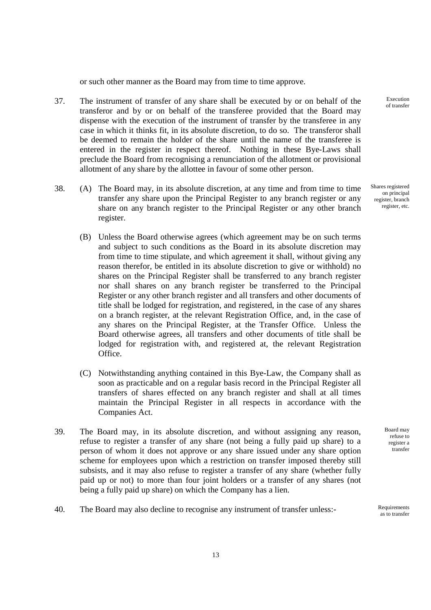or such other manner as the Board may from time to time approve.

- 37. The instrument of transfer of any share shall be executed by or on behalf of the transferor and by or on behalf of the transferee provided that the Board may dispense with the execution of the instrument of transfer by the transferee in any case in which it thinks fit, in its absolute discretion, to do so. The transferor shall be deemed to remain the holder of the share until the name of the transferee is entered in the register in respect thereof. Nothing in these Bye-Laws shall preclude the Board from recognising a renunciation of the allotment or provisional allotment of any share by the allottee in favour of some other person.
- 38. (A) The Board may, in its absolute discretion, at any time and from time to time transfer any share upon the Principal Register to any branch register or any share on any branch register to the Principal Register or any other branch register.
	- (B) Unless the Board otherwise agrees (which agreement may be on such terms and subject to such conditions as the Board in its absolute discretion may from time to time stipulate, and which agreement it shall, without giving any reason therefor, be entitled in its absolute discretion to give or withhold) no shares on the Principal Register shall be transferred to any branch register nor shall shares on any branch register be transferred to the Principal Register or any other branch register and all transfers and other documents of title shall be lodged for registration, and registered, in the case of any shares on a branch register, at the relevant Registration Office, and, in the case of any shares on the Principal Register, at the Transfer Office. Unless the Board otherwise agrees, all transfers and other documents of title shall be lodged for registration with, and registered at, the relevant Registration Office.
	- (C) Notwithstanding anything contained in this Bye-Law, the Company shall as soon as practicable and on a regular basis record in the Principal Register all transfers of shares effected on any branch register and shall at all times maintain the Principal Register in all respects in accordance with the Companies Act.
- 39. The Board may, in its absolute discretion, and without assigning any reason, refuse to register a transfer of any share (not being a fully paid up share) to a person of whom it does not approve or any share issued under any share option scheme for employees upon which a restriction on transfer imposed thereby still subsists, and it may also refuse to register a transfer of any share (whether fully paid up or not) to more than four joint holders or a transfer of any shares (not being a fully paid up share) on which the Company has a lien.
- 40. The Board may also decline to recognise any instrument of transfer unless:-

Execution of transfer

Shares registered on principal register, branch register, etc.

> Board may refuse to register a transfer

as to transfer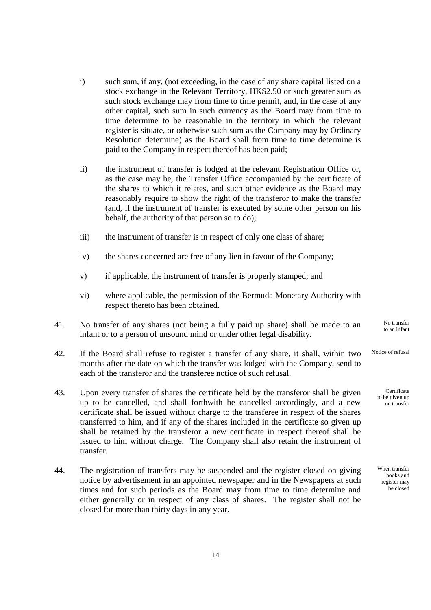- i) such sum, if any, (not exceeding, in the case of any share capital listed on a stock exchange in the Relevant Territory, HK\$2.50 or such greater sum as such stock exchange may from time to time permit, and, in the case of any other capital, such sum in such currency as the Board may from time to time determine to be reasonable in the territory in which the relevant register is situate, or otherwise such sum as the Company may by Ordinary Resolution determine) as the Board shall from time to time determine is paid to the Company in respect thereof has been paid;
- ii) the instrument of transfer is lodged at the relevant Registration Office or, as the case may be, the Transfer Office accompanied by the certificate of the shares to which it relates, and such other evidence as the Board may reasonably require to show the right of the transferor to make the transfer (and, if the instrument of transfer is executed by some other person on his behalf, the authority of that person so to do);
- iii) the instrument of transfer is in respect of only one class of share;
- iv) the shares concerned are free of any lien in favour of the Company;
- v) if applicable, the instrument of transfer is properly stamped; and
- vi) where applicable, the permission of the Bermuda Monetary Authority with respect thereto has been obtained.
- 41. No transfer of any shares (not being a fully paid up share) shall be made to an infant or to a person of unsound mind or under other legal disability.
- 42. If the Board shall refuse to register a transfer of any share, it shall, within two months after the date on which the transfer was lodged with the Company, send to each of the transferor and the transferee notice of such refusal. Notice of refusal
- 43. Upon every transfer of shares the certificate held by the transferor shall be given up to be cancelled, and shall forthwith be cancelled accordingly, and a new certificate shall be issued without charge to the transferee in respect of the shares transferred to him, and if any of the shares included in the certificate so given up shall be retained by the transferor a new certificate in respect thereof shall be issued to him without charge. The Company shall also retain the instrument of transfer.
- 44. The registration of transfers may be suspended and the register closed on giving notice by advertisement in an appointed newspaper and in the Newspapers at such times and for such periods as the Board may from time to time determine and either generally or in respect of any class of shares. The register shall not be closed for more than thirty days in any year.

When transfer books and register may be closed

No transfer to an infant

Certificate to be given up on transfer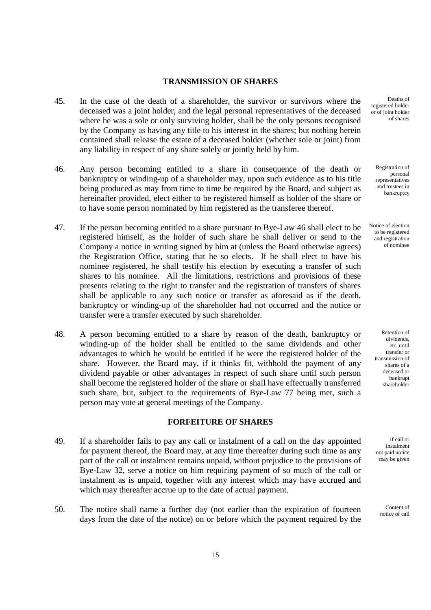## **TRANSMISSION OF SHARES**

- 45. In the case of the death of a shareholder, the survivor or survivors where the deceased was a joint holder, and the legal personal representatives of the deceased where he was a sole or only surviving holder, shall be the only persons recognised by the Company as having any title to his interest in the shares; but nothing herein contained shall release the estate of a deceased holder (whether sole or joint) from any liability in respect of any share solely or jointly held by him.
- 46. Any person becoming entitled to a share in consequence of the death or bankruptcy or winding-up of a shareholder may, upon such evidence as to his title being produced as may from time to time be required by the Board, and subject as hereinafter provided, elect either to be registered himself as holder of the share or to have some person nominated by him registered as the transferee thereof.
- 47. If the person becoming entitled to a share pursuant to Bye-Law 46 shall elect to be registered himself, as the holder of such share he shall deliver or send to the Company a notice in writing signed by him at (unless the Board otherwise agrees) the Registration Office, stating that he so elects. If he shall elect to have his nominee registered, he shall testify his election by executing a transfer of such shares to his nominee. All the limitations, restrictions and provisions of these presents relating to the right to transfer and the registration of transfers of shares shall be applicable to any such notice or transfer as aforesaid as if the death, bankruptcy or winding-up of the shareholder had not occurred and the notice or transfer were a transfer executed by such shareholder.
- 48. A person becoming entitled to a share by reason of the death, bankruptcy or winding-up of the holder shall be entitled to the same dividends and other advantages to which he would be entitled if he were the registered holder of the share. However, the Board may, if it thinks fit, withhold the payment of any dividend payable or other advantages in respect of such share until such person shall become the registered holder of the share or shall have effectually transferred such share, but, subject to the requirements of Bye-Law 77 being met, such a person may vote at general meetings of the Company.

#### **FORFEITURE OF SHARES**

- 49. If a shareholder fails to pay any call or instalment of a call on the day appointed for payment thereof, the Board may, at any time thereafter during such time as any part of the call or instalment remains unpaid, without prejudice to the provisions of Bye-Law 32, serve a notice on him requiring payment of so much of the call or instalment as is unpaid, together with any interest which may have accrued and which may thereafter accrue up to the date of actual payment.
- 50. The notice shall name a further day (not earlier than the expiration of fourteen days from the date of the notice) on or before which the payment required by the

Deaths of registered holder or of joint holder of shares

Registration of personal representatives and trustees in bankruptcy

Notice of election to be registered and registration of nominee

> Retention of dividends, etc. until transfer or transmission of shares of a deceased or bankrupt shareholder

If call or instalment not paid notice may be given

> Content of notice of call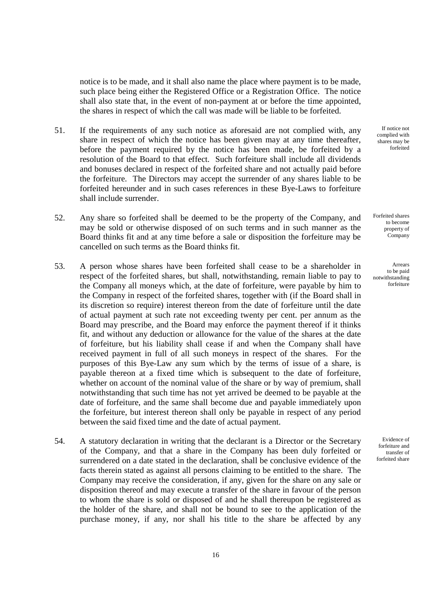notice is to be made, and it shall also name the place where payment is to be made, such place being either the Registered Office or a Registration Office. The notice shall also state that, in the event of non-payment at or before the time appointed, the shares in respect of which the call was made will be liable to be forfeited.

- 51. If the requirements of any such notice as aforesaid are not complied with, any share in respect of which the notice has been given may at any time thereafter, before the payment required by the notice has been made, be forfeited by a resolution of the Board to that effect. Such forfeiture shall include all dividends and bonuses declared in respect of the forfeited share and not actually paid before the forfeiture. The Directors may accept the surrender of any shares liable to be forfeited hereunder and in such cases references in these Bye-Laws to forfeiture shall include surrender.
- 52. Any share so forfeited shall be deemed to be the property of the Company, and may be sold or otherwise disposed of on such terms and in such manner as the Board thinks fit and at any time before a sale or disposition the forfeiture may be cancelled on such terms as the Board thinks fit.
- 53. A person whose shares have been forfeited shall cease to be a shareholder in respect of the forfeited shares, but shall, notwithstanding, remain liable to pay to the Company all moneys which, at the date of forfeiture, were payable by him to the Company in respect of the forfeited shares, together with (if the Board shall in its discretion so require) interest thereon from the date of forfeiture until the date of actual payment at such rate not exceeding twenty per cent. per annum as the Board may prescribe, and the Board may enforce the payment thereof if it thinks fit, and without any deduction or allowance for the value of the shares at the date of forfeiture, but his liability shall cease if and when the Company shall have received payment in full of all such moneys in respect of the shares. For the purposes of this Bye-Law any sum which by the terms of issue of a share, is payable thereon at a fixed time which is subsequent to the date of forfeiture, whether on account of the nominal value of the share or by way of premium, shall notwithstanding that such time has not yet arrived be deemed to be payable at the date of forfeiture, and the same shall become due and payable immediately upon the forfeiture, but interest thereon shall only be payable in respect of any period between the said fixed time and the date of actual payment.
- 54. A statutory declaration in writing that the declarant is a Director or the Secretary of the Company, and that a share in the Company has been duly forfeited or surrendered on a date stated in the declaration, shall be conclusive evidence of the facts therein stated as against all persons claiming to be entitled to the share. The Company may receive the consideration, if any, given for the share on any sale or disposition thereof and may execute a transfer of the share in favour of the person to whom the share is sold or disposed of and he shall thereupon be registered as the holder of the share, and shall not be bound to see to the application of the purchase money, if any, nor shall his title to the share be affected by any

If notice not complied with shares may be forfeited

Forfeited shares to become property of Company

Arrears to be paid notwithstanding forfeiture

Evidence of forfeiture and transfer of forfeited share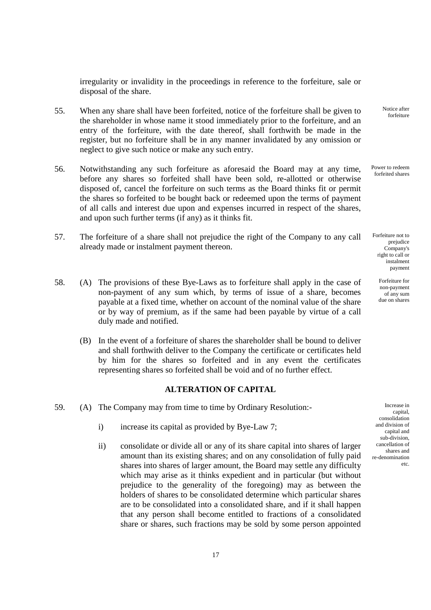irregularity or invalidity in the proceedings in reference to the forfeiture, sale or disposal of the share.

- 55. When any share shall have been forfeited, notice of the forfeiture shall be given to the shareholder in whose name it stood immediately prior to the forfeiture, and an entry of the forfeiture, with the date thereof, shall forthwith be made in the register, but no forfeiture shall be in any manner invalidated by any omission or neglect to give such notice or make any such entry.
- 56. Notwithstanding any such forfeiture as aforesaid the Board may at any time, before any shares so forfeited shall have been sold, re-allotted or otherwise disposed of, cancel the forfeiture on such terms as the Board thinks fit or permit the shares so forfeited to be bought back or redeemed upon the terms of payment of all calls and interest due upon and expenses incurred in respect of the shares, and upon such further terms (if any) as it thinks fit.
- 57. The forfeiture of a share shall not prejudice the right of the Company to any call already made or instalment payment thereon.
- 58. (A) The provisions of these Bye-Laws as to forfeiture shall apply in the case of non-payment of any sum which, by terms of issue of a share, becomes payable at a fixed time, whether on account of the nominal value of the share or by way of premium, as if the same had been payable by virtue of a call duly made and notified.
	- (B) In the event of a forfeiture of shares the shareholder shall be bound to deliver and shall forthwith deliver to the Company the certificate or certificates held by him for the shares so forfeited and in any event the certificates representing shares so forfeited shall be void and of no further effect.

## **ALTERATION OF CAPITAL**

- 59. (A) The Company may from time to time by Ordinary Resolution:
	- i) increase its capital as provided by Bye-Law 7;
	- ii) consolidate or divide all or any of its share capital into shares of larger amount than its existing shares; and on any consolidation of fully paid shares into shares of larger amount, the Board may settle any difficulty which may arise as it thinks expedient and in particular (but without prejudice to the generality of the foregoing) may as between the holders of shares to be consolidated determine which particular shares are to be consolidated into a consolidated share, and if it shall happen that any person shall become entitled to fractions of a consolidated share or shares, such fractions may be sold by some person appointed

Notice after forfeiture

Power to redeem forfeited shares

Forfeiture not to prejudice Company's right to call or instalment payment

> Forfeiture for non-payment of any sum due on shares

Increase in capital, consolidation and division of capital and sub-division, cancellation of shares and re-denomination etc.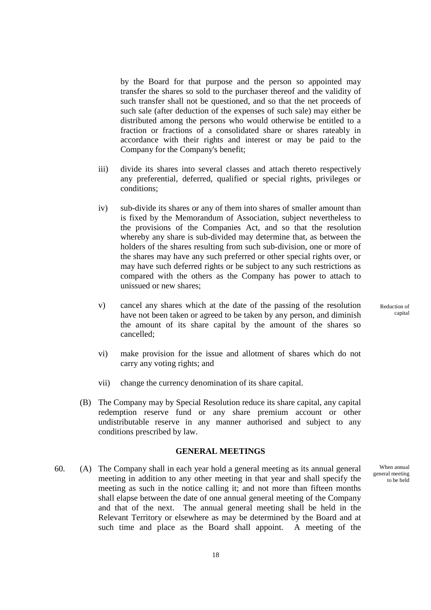by the Board for that purpose and the person so appointed may transfer the shares so sold to the purchaser thereof and the validity of such transfer shall not be questioned, and so that the net proceeds of such sale (after deduction of the expenses of such sale) may either be distributed among the persons who would otherwise be entitled to a fraction or fractions of a consolidated share or shares rateably in accordance with their rights and interest or may be paid to the Company for the Company's benefit;

- iii) divide its shares into several classes and attach thereto respectively any preferential, deferred, qualified or special rights, privileges or conditions;
- iv) sub-divide its shares or any of them into shares of smaller amount than is fixed by the Memorandum of Association, subject nevertheless to the provisions of the Companies Act, and so that the resolution whereby any share is sub-divided may determine that, as between the holders of the shares resulting from such sub-division, one or more of the shares may have any such preferred or other special rights over, or may have such deferred rights or be subject to any such restrictions as compared with the others as the Company has power to attach to unissued or new shares;
- v) cancel any shares which at the date of the passing of the resolution have not been taken or agreed to be taken by any person, and diminish the amount of its share capital by the amount of the shares so cancelled;
- vi) make provision for the issue and allotment of shares which do not carry any voting rights; and
- vii) change the currency denomination of its share capital.
- (B) The Company may by Special Resolution reduce its share capital, any capital redemption reserve fund or any share premium account or other undistributable reserve in any manner authorised and subject to any conditions prescribed by law.

#### **GENERAL MEETINGS**

 60. (A) The Company shall in each year hold a general meeting as its annual general meeting in addition to any other meeting in that year and shall specify the meeting as such in the notice calling it; and not more than fifteen months shall elapse between the date of one annual general meeting of the Company and that of the next. The annual general meeting shall be held in the Relevant Territory or elsewhere as may be determined by the Board and at such time and place as the Board shall appoint. A meeting of the

Reduction of capital

When annual general meeting to be held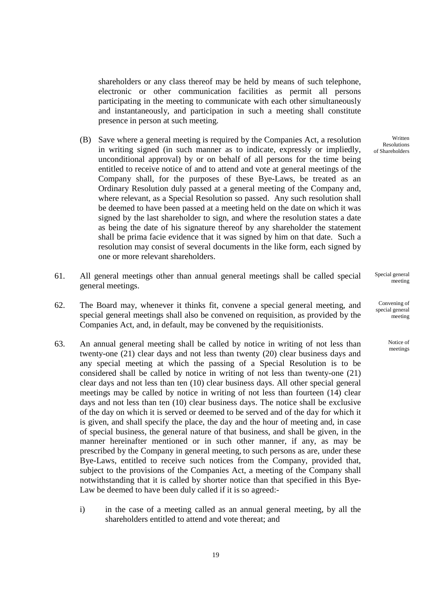shareholders or any class thereof may be held by means of such telephone, electronic or other communication facilities as permit all persons participating in the meeting to communicate with each other simultaneously and instantaneously, and participation in such a meeting shall constitute presence in person at such meeting.

- (B) Save where a general meeting is required by the Companies Act, a resolution in writing signed (in such manner as to indicate, expressly or impliedly, unconditional approval) by or on behalf of all persons for the time being entitled to receive notice of and to attend and vote at general meetings of the Company shall, for the purposes of these Bye-Laws, be treated as an Ordinary Resolution duly passed at a general meeting of the Company and, where relevant, as a Special Resolution so passed. Any such resolution shall be deemed to have been passed at a meeting held on the date on which it was signed by the last shareholder to sign, and where the resolution states a date as being the date of his signature thereof by any shareholder the statement shall be prima facie evidence that it was signed by him on that date. Such a resolution may consist of several documents in the like form, each signed by one or more relevant shareholders.
- 61. All general meetings other than annual general meetings shall be called special general meetings.
- 62. The Board may, whenever it thinks fit, convene a special general meeting, and special general meetings shall also be convened on requisition, as provided by the Companies Act, and, in default, may be convened by the requisitionists.
- 63. An annual general meeting shall be called by notice in writing of not less than twenty-one (21) clear days and not less than twenty (20) clear business days and any special meeting at which the passing of a Special Resolution is to be considered shall be called by notice in writing of not less than twenty-one (21) clear days and not less than ten (10) clear business days. All other special general meetings may be called by notice in writing of not less than fourteen (14) clear days and not less than ten (10) clear business days. The notice shall be exclusive of the day on which it is served or deemed to be served and of the day for which it is given, and shall specify the place, the day and the hour of meeting and, in case of special business, the general nature of that business, and shall be given, in the manner hereinafter mentioned or in such other manner, if any, as may be prescribed by the Company in general meeting, to such persons as are, under these Bye-Laws, entitled to receive such notices from the Company, provided that, subject to the provisions of the Companies Act, a meeting of the Company shall notwithstanding that it is called by shorter notice than that specified in this Bye-Law be deemed to have been duly called if it is so agreed:
	- i) in the case of a meeting called as an annual general meeting, by all the shareholders entitled to attend and vote thereat; and

Written Resolutions of Shareholders

Special general meeting

Convening of special general meeting

> Notice of meetings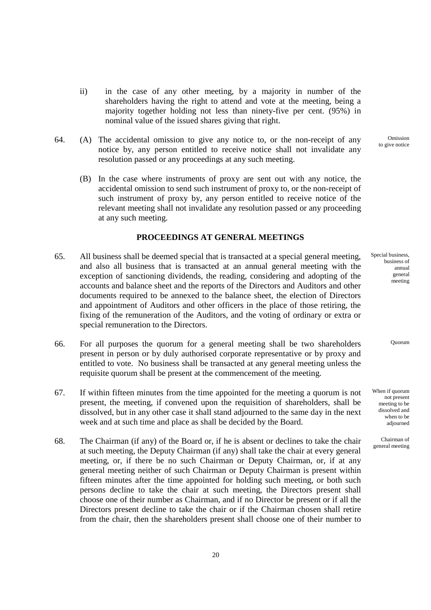- ii) in the case of any other meeting, by a majority in number of the shareholders having the right to attend and vote at the meeting, being a majority together holding not less than ninety-five per cent. (95%) in nominal value of the issued shares giving that right.
- 64. (A) The accidental omission to give any notice to, or the non-receipt of any notice by, any person entitled to receive notice shall not invalidate any resolution passed or any proceedings at any such meeting.
	- (B) In the case where instruments of proxy are sent out with any notice, the accidental omission to send such instrument of proxy to, or the non-receipt of such instrument of proxy by, any person entitled to receive notice of the relevant meeting shall not invalidate any resolution passed or any proceeding at any such meeting.

#### **PROCEEDINGS AT GENERAL MEETINGS**

- 65. All business shall be deemed special that is transacted at a special general meeting, and also all business that is transacted at an annual general meeting with the exception of sanctioning dividends, the reading, considering and adopting of the accounts and balance sheet and the reports of the Directors and Auditors and other documents required to be annexed to the balance sheet, the election of Directors and appointment of Auditors and other officers in the place of those retiring, the fixing of the remuneration of the Auditors, and the voting of ordinary or extra or special remuneration to the Directors.
- 66. For all purposes the quorum for a general meeting shall be two shareholders present in person or by duly authorised corporate representative or by proxy and entitled to vote. No business shall be transacted at any general meeting unless the requisite quorum shall be present at the commencement of the meeting.
- 67. If within fifteen minutes from the time appointed for the meeting a quorum is not present, the meeting, if convened upon the requisition of shareholders, shall be dissolved, but in any other case it shall stand adjourned to the same day in the next week and at such time and place as shall be decided by the Board.
- 68. The Chairman (if any) of the Board or, if he is absent or declines to take the chair at such meeting, the Deputy Chairman (if any) shall take the chair at every general meeting, or, if there be no such Chairman or Deputy Chairman, or, if at any general meeting neither of such Chairman or Deputy Chairman is present within fifteen minutes after the time appointed for holding such meeting, or both such persons decline to take the chair at such meeting, the Directors present shall choose one of their number as Chairman, and if no Director be present or if all the Directors present decline to take the chair or if the Chairman chosen shall retire from the chair, then the shareholders present shall choose one of their number to

Omission to give notice

Special business, business of annual general meeting

Quorum

When if quorum not present meeting to be dissolved and when to be adjourned

Chairman of general meeting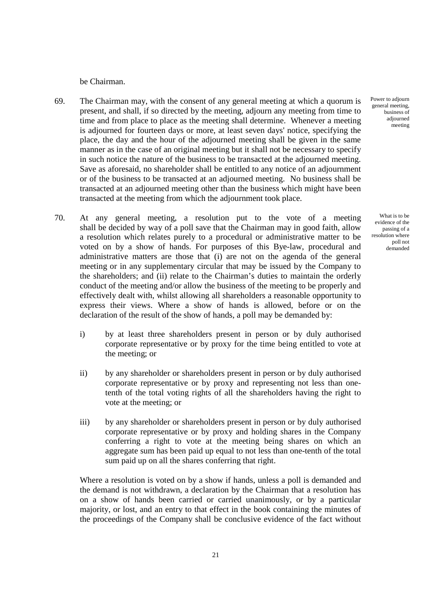be Chairman.

- 69. The Chairman may, with the consent of any general meeting at which a quorum is present, and shall, if so directed by the meeting, adjourn any meeting from time to time and from place to place as the meeting shall determine. Whenever a meeting is adjourned for fourteen days or more, at least seven days' notice, specifying the place, the day and the hour of the adjourned meeting shall be given in the same manner as in the case of an original meeting but it shall not be necessary to specify in such notice the nature of the business to be transacted at the adjourned meeting. Save as aforesaid, no shareholder shall be entitled to any notice of an adjournment or of the business to be transacted at an adjourned meeting. No business shall be transacted at an adjourned meeting other than the business which might have been transacted at the meeting from which the adjournment took place.
- 70. At any general meeting, a resolution put to the vote of a meeting shall be decided by way of a poll save that the Chairman may in good faith, allow a resolution which relates purely to a procedural or administrative matter to be voted on by a show of hands. For purposes of this Bye-law, procedural and administrative matters are those that (i) are not on the agenda of the general meeting or in any supplementary circular that may be issued by the Company to the shareholders; and (ii) relate to the Chairman's duties to maintain the orderly conduct of the meeting and/or allow the business of the meeting to be properly and effectively dealt with, whilst allowing all shareholders a reasonable opportunity to express their views. Where a show of hands is allowed, before or on the declaration of the result of the show of hands, a poll may be demanded by:
	- i) by at least three shareholders present in person or by duly authorised corporate representative or by proxy for the time being entitled to vote at the meeting; or
	- ii) by any shareholder or shareholders present in person or by duly authorised corporate representative or by proxy and representing not less than onetenth of the total voting rights of all the shareholders having the right to vote at the meeting; or
	- iii) by any shareholder or shareholders present in person or by duly authorised corporate representative or by proxy and holding shares in the Company conferring a right to vote at the meeting being shares on which an aggregate sum has been paid up equal to not less than one-tenth of the total sum paid up on all the shares conferring that right.

Where a resolution is voted on by a show if hands, unless a poll is demanded and the demand is not withdrawn, a declaration by the Chairman that a resolution has on a show of hands been carried or carried unanimously, or by a particular majority, or lost, and an entry to that effect in the book containing the minutes of the proceedings of the Company shall be conclusive evidence of the fact without Power to adjourn general meeting, business of adjourned meeting

What is to be evidence of the passing of a resolution where poll not demanded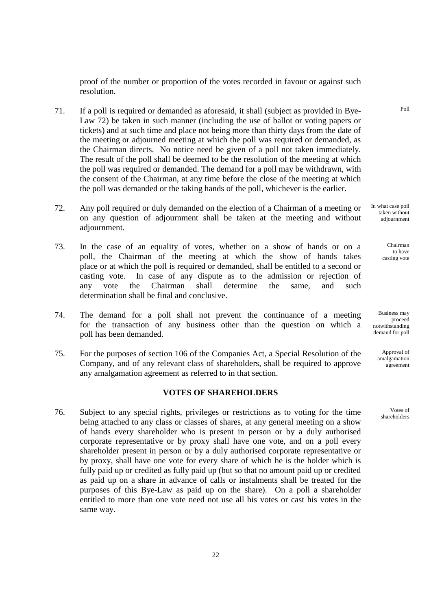proof of the number or proportion of the votes recorded in favour or against such resolution.

- 71. If a poll is required or demanded as aforesaid, it shall (subject as provided in Bye-Law 72) be taken in such manner (including the use of ballot or voting papers or tickets) and at such time and place not being more than thirty days from the date of the meeting or adjourned meeting at which the poll was required or demanded, as the Chairman directs. No notice need be given of a poll not taken immediately. The result of the poll shall be deemed to be the resolution of the meeting at which the poll was required or demanded. The demand for a poll may be withdrawn, with the consent of the Chairman, at any time before the close of the meeting at which the poll was demanded or the taking hands of the poll, whichever is the earlier.
- 72. Any poll required or duly demanded on the election of a Chairman of a meeting or on any question of adjournment shall be taken at the meeting and without adjournment.
- 73. In the case of an equality of votes, whether on a show of hands or on a poll, the Chairman of the meeting at which the show of hands takes place or at which the poll is required or demanded, shall be entitled to a second or casting vote. In case of any dispute as to the admission or rejection of any vote the Chairman shall determine the same, and such determination shall be final and conclusive.
- 74. The demand for a poll shall not prevent the continuance of a meeting for the transaction of any business other than the question on which a poll has been demanded.
- 75. For the purposes of section 106 of the Companies Act, a Special Resolution of the Company, and of any relevant class of shareholders, shall be required to approve any amalgamation agreement as referred to in that section.

## **VOTES OF SHAREHOLDERS**

 76. Subject to any special rights, privileges or restrictions as to voting for the time being attached to any class or classes of shares, at any general meeting on a show of hands every shareholder who is present in person or by a duly authorised corporate representative or by proxy shall have one vote, and on a poll every shareholder present in person or by a duly authorised corporate representative or by proxy, shall have one vote for every share of which he is the holder which is fully paid up or credited as fully paid up (but so that no amount paid up or credited as paid up on a share in advance of calls or instalments shall be treated for the purposes of this Bye-Law as paid up on the share). On a poll a shareholder entitled to more than one vote need not use all his votes or cast his votes in the same way.

In what case poll taken without adjournment

> Chairman to have casting vote

Business may proceed notwithstanding demand for poll

> Approval of amalgamation agreement

Votes of shareholders

Poll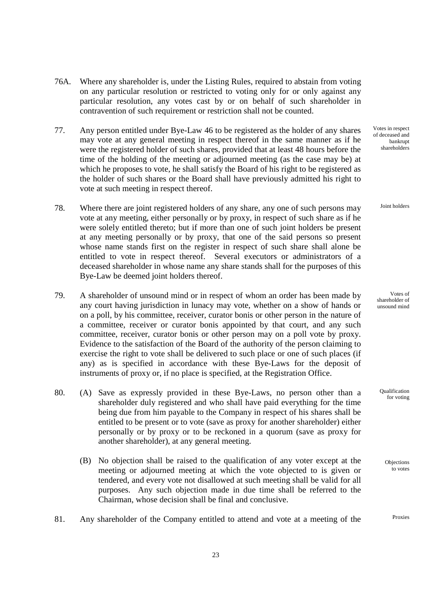- 76A. Where any shareholder is, under the Listing Rules, required to abstain from voting on any particular resolution or restricted to voting only for or only against any particular resolution, any votes cast by or on behalf of such shareholder in contravention of such requirement or restriction shall not be counted.
- 77. Any person entitled under Bye-Law 46 to be registered as the holder of any shares may vote at any general meeting in respect thereof in the same manner as if he were the registered holder of such shares, provided that at least 48 hours before the time of the holding of the meeting or adjourned meeting (as the case may be) at which he proposes to vote, he shall satisfy the Board of his right to be registered as the holder of such shares or the Board shall have previously admitted his right to vote at such meeting in respect thereof.
- 78. Where there are joint registered holders of any share, any one of such persons may vote at any meeting, either personally or by proxy, in respect of such share as if he were solely entitled thereto; but if more than one of such joint holders be present at any meeting personally or by proxy, that one of the said persons so present whose name stands first on the register in respect of such share shall alone be entitled to vote in respect thereof. Several executors or administrators of a deceased shareholder in whose name any share stands shall for the purposes of this Bye-Law be deemed joint holders thereof.
- 79. A shareholder of unsound mind or in respect of whom an order has been made by any court having jurisdiction in lunacy may vote, whether on a show of hands or on a poll, by his committee, receiver, curator bonis or other person in the nature of a committee, receiver or curator bonis appointed by that court, and any such committee, receiver, curator bonis or other person may on a poll vote by proxy. Evidence to the satisfaction of the Board of the authority of the person claiming to exercise the right to vote shall be delivered to such place or one of such places (if any) as is specified in accordance with these Bye-Laws for the deposit of instruments of proxy or, if no place is specified, at the Registration Office.
- 80. (A) Save as expressly provided in these Bye-Laws, no person other than a shareholder duly registered and who shall have paid everything for the time being due from him payable to the Company in respect of his shares shall be entitled to be present or to vote (save as proxy for another shareholder) either personally or by proxy or to be reckoned in a quorum (save as proxy for another shareholder), at any general meeting.
	- (B) No objection shall be raised to the qualification of any voter except at the meeting or adjourned meeting at which the vote objected to is given or tendered, and every vote not disallowed at such meeting shall be valid for all purposes. Any such objection made in due time shall be referred to the Chairman, whose decision shall be final and conclusive.
- 81. Any shareholder of the Company entitled to attend and vote at a meeting of the

Votes in respect of deceased and bankrupt shareholders

Joint holders

Votes of shareholder of unsound mind

Qualification for voting

> **Objections** to votes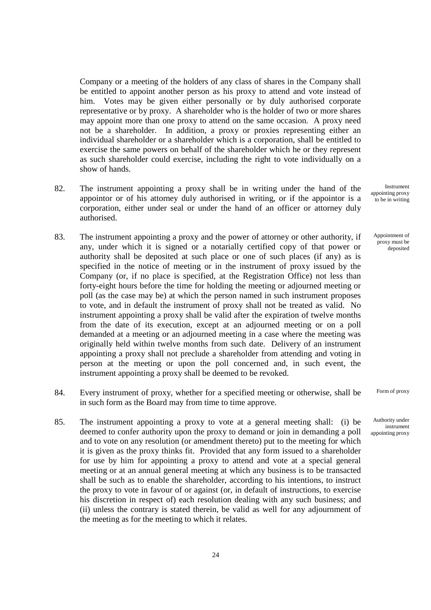Company or a meeting of the holders of any class of shares in the Company shall be entitled to appoint another person as his proxy to attend and vote instead of him. Votes may be given either personally or by duly authorised corporate representative or by proxy. A shareholder who is the holder of two or more shares may appoint more than one proxy to attend on the same occasion. A proxy need not be a shareholder. In addition, a proxy or proxies representing either an individual shareholder or a shareholder which is a corporation, shall be entitled to exercise the same powers on behalf of the shareholder which he or they represent as such shareholder could exercise, including the right to vote individually on a show of hands.

- 82. The instrument appointing a proxy shall be in writing under the hand of the appointor or of his attorney duly authorised in writing, or if the appointor is a corporation, either under seal or under the hand of an officer or attorney duly authorised.
- 83. The instrument appointing a proxy and the power of attorney or other authority, if any, under which it is signed or a notarially certified copy of that power or authority shall be deposited at such place or one of such places (if any) as is specified in the notice of meeting or in the instrument of proxy issued by the Company (or, if no place is specified, at the Registration Office) not less than forty-eight hours before the time for holding the meeting or adjourned meeting or poll (as the case may be) at which the person named in such instrument proposes to vote, and in default the instrument of proxy shall not be treated as valid. No instrument appointing a proxy shall be valid after the expiration of twelve months from the date of its execution, except at an adjourned meeting or on a poll demanded at a meeting or an adjourned meeting in a case where the meeting was originally held within twelve months from such date. Delivery of an instrument appointing a proxy shall not preclude a shareholder from attending and voting in person at the meeting or upon the poll concerned and, in such event, the instrument appointing a proxy shall be deemed to be revoked.
- 84. Every instrument of proxy, whether for a specified meeting or otherwise, shall be in such form as the Board may from time to time approve.
- 85. The instrument appointing a proxy to vote at a general meeting shall: (i) be deemed to confer authority upon the proxy to demand or join in demanding a poll and to vote on any resolution (or amendment thereto) put to the meeting for which it is given as the proxy thinks fit. Provided that any form issued to a shareholder for use by him for appointing a proxy to attend and vote at a special general meeting or at an annual general meeting at which any business is to be transacted shall be such as to enable the shareholder, according to his intentions, to instruct the proxy to vote in favour of or against (or, in default of instructions, to exercise his discretion in respect of) each resolution dealing with any such business; and (ii) unless the contrary is stated therein, be valid as well for any adjournment of the meeting as for the meeting to which it relates.

Instrument appointing proxy to be in writing

Appointment of proxy must be deposited

Form of proxy

Authority under instrument appointing proxy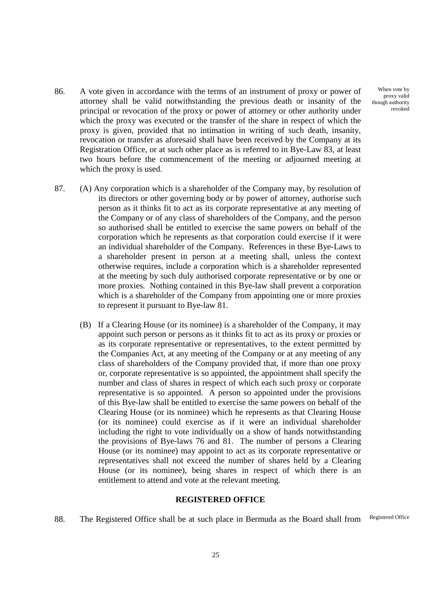- 86. A vote given in accordance with the terms of an instrument of proxy or power of attorney shall be valid notwithstanding the previous death or insanity of the principal or revocation of the proxy or power of attorney or other authority under which the proxy was executed or the transfer of the share in respect of which the proxy is given, provided that no intimation in writing of such death, insanity, revocation or transfer as aforesaid shall have been received by the Company at its Registration Office, or at such other place as is referred to in Bye-Law 83, at least two hours before the commencement of the meeting or adjourned meeting at which the proxy is used.
- 87. (A) Any corporation which is a shareholder of the Company may, by resolution of its directors or other governing body or by power of attorney, authorise such person as it thinks fit to act as its corporate representative at any meeting of the Company or of any class of shareholders of the Company, and the person so authorised shall be entitled to exercise the same powers on behalf of the corporation which he represents as that corporation could exercise if it were an individual shareholder of the Company. References in these Bye-Laws to a shareholder present in person at a meeting shall, unless the context otherwise requires, include a corporation which is a shareholder represented at the meeting by such duly authorised corporate representative or by one or more proxies. Nothing contained in this Bye-law shall prevent a corporation which is a shareholder of the Company from appointing one or more proxies to represent it pursuant to Bye-law 81.
	- (B) If a Clearing House (or its nominee) is a shareholder of the Company, it may appoint such person or persons as it thinks fit to act as its proxy or proxies or as its corporate representative or representatives, to the extent permitted by the Companies Act, at any meeting of the Company or at any meeting of any class of shareholders of the Company provided that, if more than one proxy or, corporate representative is so appointed, the appointment shall specify the number and class of shares in respect of which each such proxy or corporate representative is so appointed. A person so appointed under the provisions of this Bye-law shall be entitled to exercise the same powers on behalf of the Clearing House (or its nominee) which he represents as that Clearing House (or its nominee) could exercise as if it were an individual shareholder including the right to vote individually on a show of hands notwithstanding the provisions of Bye-laws 76 and 81. The number of persons a Clearing House (or its nominee) may appoint to act as its corporate representative or representatives shall not exceed the number of shares held by a Clearing House (or its nominee), being shares in respect of which there is an entitlement to attend and vote at the relevant meeting.

#### **REGISTERED OFFICE**

88. The Registered Office shall be at such place in Bermuda as the Board shall from Registered Office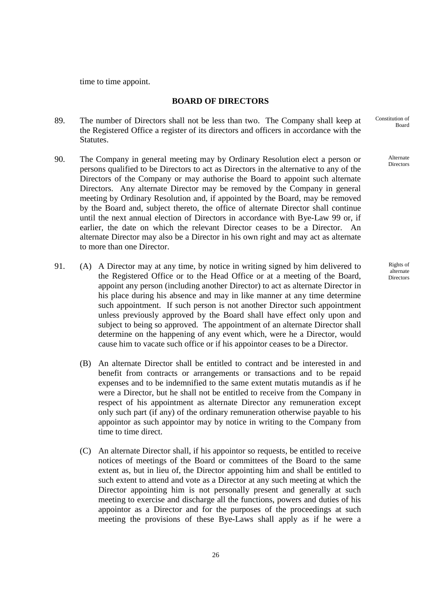time to time appoint.

# **BOARD OF DIRECTORS**

- 89. The number of Directors shall not be less than two. The Company shall keep at the Registered Office a register of its directors and officers in accordance with the Statutes.
- 90. The Company in general meeting may by Ordinary Resolution elect a person or persons qualified to be Directors to act as Directors in the alternative to any of the Directors of the Company or may authorise the Board to appoint such alternate Directors. Any alternate Director may be removed by the Company in general meeting by Ordinary Resolution and, if appointed by the Board, may be removed by the Board and, subject thereto, the office of alternate Director shall continue until the next annual election of Directors in accordance with Bye-Law 99 or, if earlier, the date on which the relevant Director ceases to be a Director. An alternate Director may also be a Director in his own right and may act as alternate to more than one Director.
- 91. (A) A Director may at any time, by notice in writing signed by him delivered to the Registered Office or to the Head Office or at a meeting of the Board, appoint any person (including another Director) to act as alternate Director in his place during his absence and may in like manner at any time determine such appointment. If such person is not another Director such appointment unless previously approved by the Board shall have effect only upon and subject to being so approved. The appointment of an alternate Director shall determine on the happening of any event which, were he a Director, would cause him to vacate such office or if his appointor ceases to be a Director.
	- (B) An alternate Director shall be entitled to contract and be interested in and benefit from contracts or arrangements or transactions and to be repaid expenses and to be indemnified to the same extent mutatis mutandis as if he were a Director, but he shall not be entitled to receive from the Company in respect of his appointment as alternate Director any remuneration except only such part (if any) of the ordinary remuneration otherwise payable to his appointor as such appointor may by notice in writing to the Company from time to time direct.
	- (C) An alternate Director shall, if his appointor so requests, be entitled to receive notices of meetings of the Board or committees of the Board to the same extent as, but in lieu of, the Director appointing him and shall be entitled to such extent to attend and vote as a Director at any such meeting at which the Director appointing him is not personally present and generally at such meeting to exercise and discharge all the functions, powers and duties of his appointor as a Director and for the purposes of the proceedings at such meeting the provisions of these Bye-Laws shall apply as if he were a

Constitution of Board

> Alternate Directors

Rights of alternate **Directors**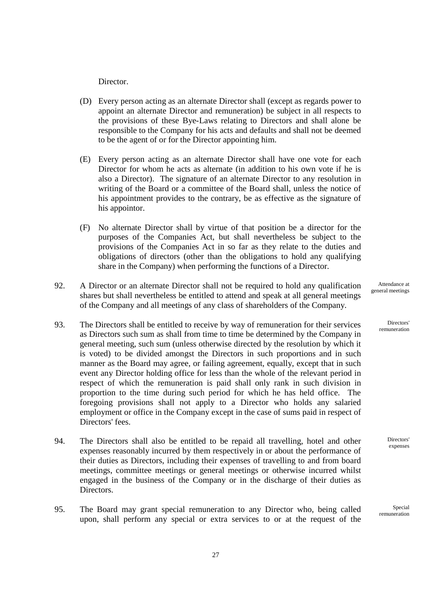Director.

- (D) Every person acting as an alternate Director shall (except as regards power to appoint an alternate Director and remuneration) be subject in all respects to the provisions of these Bye-Laws relating to Directors and shall alone be responsible to the Company for his acts and defaults and shall not be deemed to be the agent of or for the Director appointing him.
- (E) Every person acting as an alternate Director shall have one vote for each Director for whom he acts as alternate (in addition to his own vote if he is also a Director). The signature of an alternate Director to any resolution in writing of the Board or a committee of the Board shall, unless the notice of his appointment provides to the contrary, be as effective as the signature of his appointor.
- (F) No alternate Director shall by virtue of that position be a director for the purposes of the Companies Act, but shall nevertheless be subject to the provisions of the Companies Act in so far as they relate to the duties and obligations of directors (other than the obligations to hold any qualifying share in the Company) when performing the functions of a Director.
- 92. A Director or an alternate Director shall not be required to hold any qualification shares but shall nevertheless be entitled to attend and speak at all general meetings of the Company and all meetings of any class of shareholders of the Company.
- 93. The Directors shall be entitled to receive by way of remuneration for their services as Directors such sum as shall from time to time be determined by the Company in general meeting, such sum (unless otherwise directed by the resolution by which it is voted) to be divided amongst the Directors in such proportions and in such manner as the Board may agree, or failing agreement, equally, except that in such event any Director holding office for less than the whole of the relevant period in respect of which the remuneration is paid shall only rank in such division in proportion to the time during such period for which he has held office. The foregoing provisions shall not apply to a Director who holds any salaried employment or office in the Company except in the case of sums paid in respect of Directors' fees.
- 94. The Directors shall also be entitled to be repaid all travelling, hotel and other expenses reasonably incurred by them respectively in or about the performance of their duties as Directors, including their expenses of travelling to and from board meetings, committee meetings or general meetings or otherwise incurred whilst engaged in the business of the Company or in the discharge of their duties as Directors.
- 95. The Board may grant special remuneration to any Director who, being called upon, shall perform any special or extra services to or at the request of the

Attendance at general meetings

> Directors' remuneration

> > **Directors** expenses

Special remuneration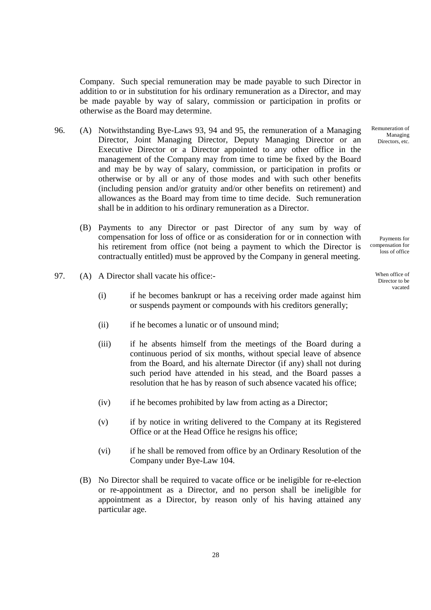Company. Such special remuneration may be made payable to such Director in addition to or in substitution for his ordinary remuneration as a Director, and may be made payable by way of salary, commission or participation in profits or otherwise as the Board may determine.

- 96. (A) Notwithstanding Bye-Laws 93, 94 and 95, the remuneration of a Managing Director, Joint Managing Director, Deputy Managing Director or an Executive Director or a Director appointed to any other office in the management of the Company may from time to time be fixed by the Board and may be by way of salary, commission, or participation in profits or otherwise or by all or any of those modes and with such other benefits (including pension and/or gratuity and/or other benefits on retirement) and allowances as the Board may from time to time decide. Such remuneration shall be in addition to his ordinary remuneration as a Director.
	- (B) Payments to any Director or past Director of any sum by way of compensation for loss of office or as consideration for or in connection with his retirement from office (not being a payment to which the Director is contractually entitled) must be approved by the Company in general meeting.
- 97. (A) A Director shall vacate his office:-
	- (i) if he becomes bankrupt or has a receiving order made against him or suspends payment or compounds with his creditors generally;
	- (ii) if he becomes a lunatic or of unsound mind;
	- (iii) if he absents himself from the meetings of the Board during a continuous period of six months, without special leave of absence from the Board, and his alternate Director (if any) shall not during such period have attended in his stead, and the Board passes a resolution that he has by reason of such absence vacated his office;
	- (iv) if he becomes prohibited by law from acting as a Director;
	- (v) if by notice in writing delivered to the Company at its Registered Office or at the Head Office he resigns his office;
	- (vi) if he shall be removed from office by an Ordinary Resolution of the Company under Bye-Law 104.
	- (B) No Director shall be required to vacate office or be ineligible for re-election or re-appointment as a Director, and no person shall be ineligible for appointment as a Director, by reason only of his having attained any particular age.

Remuneration of Managing Directors, etc.

Payments for compensation for loss of office

> When office of Director to be vacated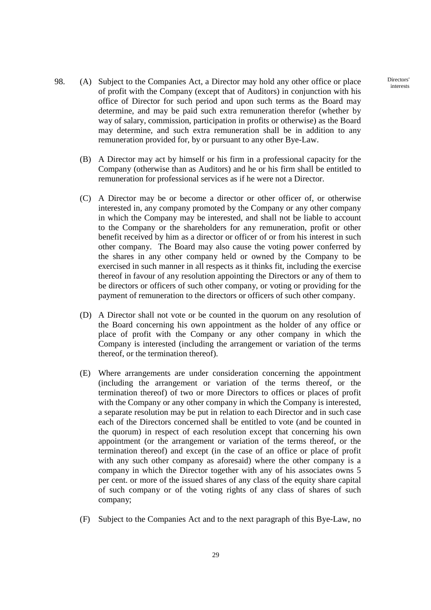- 98. (A) Subject to the Companies Act, a Director may hold any other office or place of profit with the Company (except that of Auditors) in conjunction with his office of Director for such period and upon such terms as the Board may determine, and may be paid such extra remuneration therefor (whether by way of salary, commission, participation in profits or otherwise) as the Board may determine, and such extra remuneration shall be in addition to any remuneration provided for, by or pursuant to any other Bye-Law.
	- (B) A Director may act by himself or his firm in a professional capacity for the Company (otherwise than as Auditors) and he or his firm shall be entitled to remuneration for professional services as if he were not a Director.
	- (C) A Director may be or become a director or other officer of, or otherwise interested in, any company promoted by the Company or any other company in which the Company may be interested, and shall not be liable to account to the Company or the shareholders for any remuneration, profit or other benefit received by him as a director or officer of or from his interest in such other company. The Board may also cause the voting power conferred by the shares in any other company held or owned by the Company to be exercised in such manner in all respects as it thinks fit, including the exercise thereof in favour of any resolution appointing the Directors or any of them to be directors or officers of such other company, or voting or providing for the payment of remuneration to the directors or officers of such other company.
	- (D) A Director shall not vote or be counted in the quorum on any resolution of the Board concerning his own appointment as the holder of any office or place of profit with the Company or any other company in which the Company is interested (including the arrangement or variation of the terms thereof, or the termination thereof).
	- (E) Where arrangements are under consideration concerning the appointment (including the arrangement or variation of the terms thereof, or the termination thereof) of two or more Directors to offices or places of profit with the Company or any other company in which the Company is interested, a separate resolution may be put in relation to each Director and in such case each of the Directors concerned shall be entitled to vote (and be counted in the quorum) in respect of each resolution except that concerning his own appointment (or the arrangement or variation of the terms thereof, or the termination thereof) and except (in the case of an office or place of profit with any such other company as aforesaid) where the other company is a company in which the Director together with any of his associates owns 5 per cent. or more of the issued shares of any class of the equity share capital of such company or of the voting rights of any class of shares of such company;
	- (F) Subject to the Companies Act and to the next paragraph of this Bye-Law, no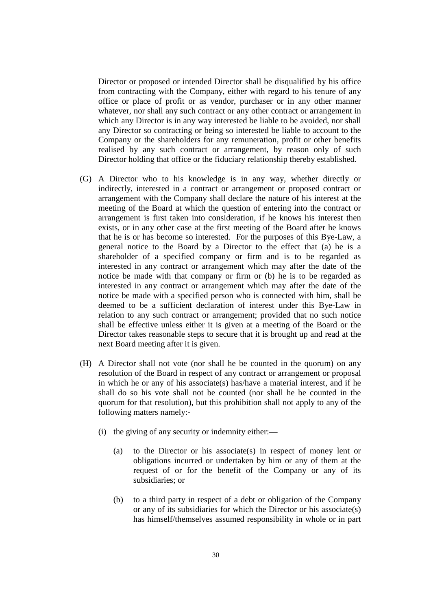Director or proposed or intended Director shall be disqualified by his office from contracting with the Company, either with regard to his tenure of any office or place of profit or as vendor, purchaser or in any other manner whatever, nor shall any such contract or any other contract or arrangement in which any Director is in any way interested be liable to be avoided, nor shall any Director so contracting or being so interested be liable to account to the Company or the shareholders for any remuneration, profit or other benefits realised by any such contract or arrangement, by reason only of such Director holding that office or the fiduciary relationship thereby established.

- (G) A Director who to his knowledge is in any way, whether directly or indirectly, interested in a contract or arrangement or proposed contract or arrangement with the Company shall declare the nature of his interest at the meeting of the Board at which the question of entering into the contract or arrangement is first taken into consideration, if he knows his interest then exists, or in any other case at the first meeting of the Board after he knows that he is or has become so interested. For the purposes of this Bye-Law, a general notice to the Board by a Director to the effect that (a) he is a shareholder of a specified company or firm and is to be regarded as interested in any contract or arrangement which may after the date of the notice be made with that company or firm or (b) he is to be regarded as interested in any contract or arrangement which may after the date of the notice be made with a specified person who is connected with him, shall be deemed to be a sufficient declaration of interest under this Bye-Law in relation to any such contract or arrangement; provided that no such notice shall be effective unless either it is given at a meeting of the Board or the Director takes reasonable steps to secure that it is brought up and read at the next Board meeting after it is given.
- (H) A Director shall not vote (nor shall he be counted in the quorum) on any resolution of the Board in respect of any contract or arrangement or proposal in which he or any of his associate(s) has/have a material interest, and if he shall do so his vote shall not be counted (nor shall he be counted in the quorum for that resolution), but this prohibition shall not apply to any of the following matters namely:-
	- (i) the giving of any security or indemnity either:—
		- (a) to the Director or his associate(s) in respect of money lent or obligations incurred or undertaken by him or any of them at the request of or for the benefit of the Company or any of its subsidiaries; or
		- (b) to a third party in respect of a debt or obligation of the Company or any of its subsidiaries for which the Director or his associate(s) has himself/themselves assumed responsibility in whole or in part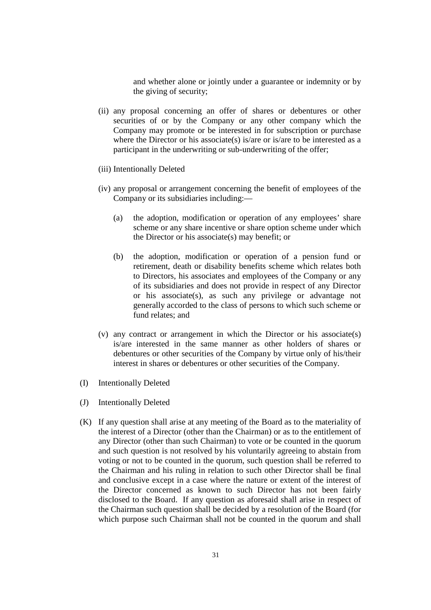and whether alone or jointly under a guarantee or indemnity or by the giving of security;

- (ii) any proposal concerning an offer of shares or debentures or other securities of or by the Company or any other company which the Company may promote or be interested in for subscription or purchase where the Director or his associate(s) is/are or is/are to be interested as a participant in the underwriting or sub-underwriting of the offer;
- (iii) Intentionally Deleted
- (iv) any proposal or arrangement concerning the benefit of employees of the Company or its subsidiaries including:—
	- (a) the adoption, modification or operation of any employees' share scheme or any share incentive or share option scheme under which the Director or his associate(s) may benefit; or
	- (b) the adoption, modification or operation of a pension fund or retirement, death or disability benefits scheme which relates both to Directors, his associates and employees of the Company or any of its subsidiaries and does not provide in respect of any Director or his associate(s), as such any privilege or advantage not generally accorded to the class of persons to which such scheme or fund relates; and
- (v) any contract or arrangement in which the Director or his associate(s) is/are interested in the same manner as other holders of shares or debentures or other securities of the Company by virtue only of his/their interest in shares or debentures or other securities of the Company.
- (I) Intentionally Deleted
- (J) Intentionally Deleted
- (K) If any question shall arise at any meeting of the Board as to the materiality of the interest of a Director (other than the Chairman) or as to the entitlement of any Director (other than such Chairman) to vote or be counted in the quorum and such question is not resolved by his voluntarily agreeing to abstain from voting or not to be counted in the quorum, such question shall be referred to the Chairman and his ruling in relation to such other Director shall be final and conclusive except in a case where the nature or extent of the interest of the Director concerned as known to such Director has not been fairly disclosed to the Board. If any question as aforesaid shall arise in respect of the Chairman such question shall be decided by a resolution of the Board (for which purpose such Chairman shall not be counted in the quorum and shall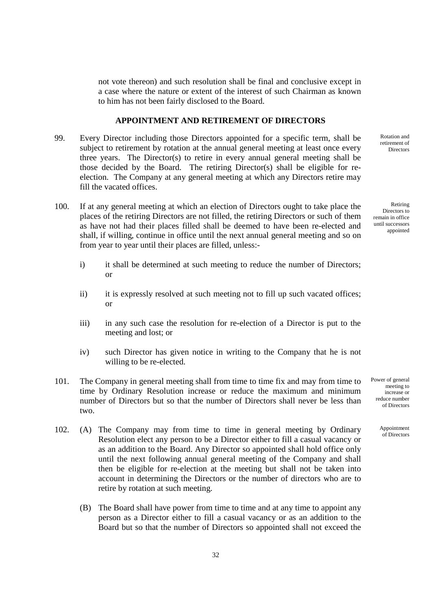not vote thereon) and such resolution shall be final and conclusive except in a case where the nature or extent of the interest of such Chairman as known to him has not been fairly disclosed to the Board.

#### **APPOINTMENT AND RETIREMENT OF DIRECTORS**

- 99. Every Director including those Directors appointed for a specific term, shall be subject to retirement by rotation at the annual general meeting at least once every three years. The Director(s) to retire in every annual general meeting shall be those decided by the Board. The retiring Director(s) shall be eligible for reelection. The Company at any general meeting at which any Directors retire may fill the vacated offices.
- 100. If at any general meeting at which an election of Directors ought to take place the places of the retiring Directors are not filled, the retiring Directors or such of them as have not had their places filled shall be deemed to have been re-elected and shall, if willing, continue in office until the next annual general meeting and so on from year to year until their places are filled, unless:
	- i) it shall be determined at such meeting to reduce the number of Directors; or
	- ii) it is expressly resolved at such meeting not to fill up such vacated offices; or
	- iii) in any such case the resolution for re-election of a Director is put to the meeting and lost; or
	- iv) such Director has given notice in writing to the Company that he is not willing to be re-elected.
- 101. The Company in general meeting shall from time to time fix and may from time to time by Ordinary Resolution increase or reduce the maximum and minimum number of Directors but so that the number of Directors shall never be less than two.
- 102. (A) The Company may from time to time in general meeting by Ordinary Resolution elect any person to be a Director either to fill a casual vacancy or as an addition to the Board. Any Director so appointed shall hold office only until the next following annual general meeting of the Company and shall then be eligible for re-election at the meeting but shall not be taken into account in determining the Directors or the number of directors who are to retire by rotation at such meeting.
	- (B) The Board shall have power from time to time and at any time to appoint any person as a Director either to fill a casual vacancy or as an addition to the Board but so that the number of Directors so appointed shall not exceed the

Rotation and retirement of **Directors** 

Retiring Directors to remain in office until successors appointed

Power of general meeting to increase or reduce number of Directors

> Appointment of Directors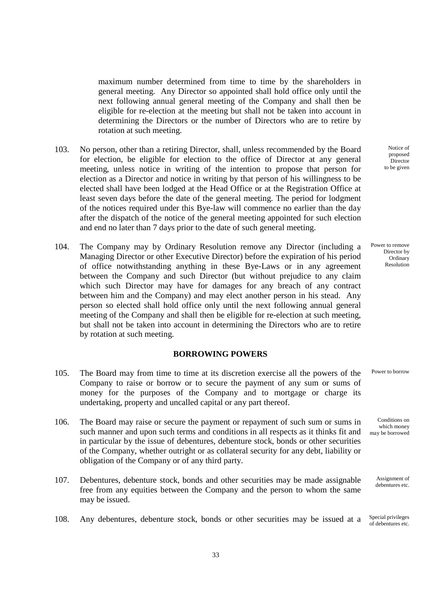maximum number determined from time to time by the shareholders in general meeting. Any Director so appointed shall hold office only until the next following annual general meeting of the Company and shall then be eligible for re-election at the meeting but shall not be taken into account in determining the Directors or the number of Directors who are to retire by rotation at such meeting.

- 103. No person, other than a retiring Director, shall, unless recommended by the Board for election, be eligible for election to the office of Director at any general meeting, unless notice in writing of the intention to propose that person for election as a Director and notice in writing by that person of his willingness to be elected shall have been lodged at the Head Office or at the Registration Office at least seven days before the date of the general meeting. The period for lodgment of the notices required under this Bye-law will commence no earlier than the day after the dispatch of the notice of the general meeting appointed for such election and end no later than 7 days prior to the date of such general meeting.
- 104. The Company may by Ordinary Resolution remove any Director (including a Managing Director or other Executive Director) before the expiration of his period of office notwithstanding anything in these Bye-Laws or in any agreement between the Company and such Director (but without prejudice to any claim which such Director may have for damages for any breach of any contract between him and the Company) and may elect another person in his stead. Any person so elected shall hold office only until the next following annual general meeting of the Company and shall then be eligible for re-election at such meeting, but shall not be taken into account in determining the Directors who are to retire by rotation at such meeting.

## **BORROWING POWERS**

- 105. The Board may from time to time at its discretion exercise all the powers of the Company to raise or borrow or to secure the payment of any sum or sums of money for the purposes of the Company and to mortgage or charge its undertaking, property and uncalled capital or any part thereof.
- 106. The Board may raise or secure the payment or repayment of such sum or sums in such manner and upon such terms and conditions in all respects as it thinks fit and in particular by the issue of debentures, debenture stock, bonds or other securities of the Company, whether outright or as collateral security for any debt, liability or obligation of the Company or of any third party.
- 107. Debentures, debenture stock, bonds and other securities may be made assignable free from any equities between the Company and the person to whom the same may be issued.

108. Any debentures, debenture stock, bonds or other securities may be issued at a Special privileges

Notice of proposed **Director** to be given

Power to remove Director by **Ordinary** Resolution

Power to borrow

Conditions on which money may be borrowed

> Assignment of debentures etc.

of debentures etc.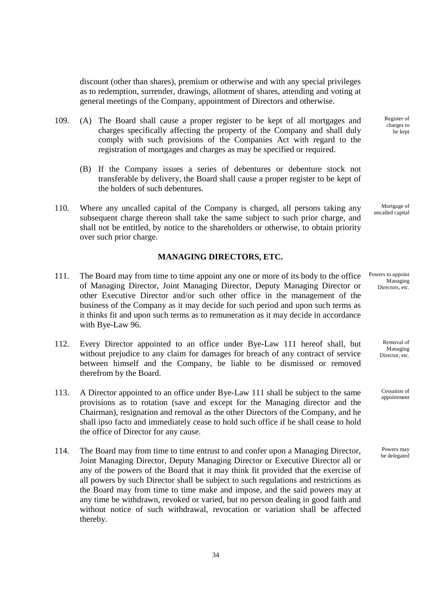discount (other than shares), premium or otherwise and with any special privileges as to redemption, surrender, drawings, allotment of shares, attending and voting at general meetings of the Company, appointment of Directors and otherwise.

- 109. (A) The Board shall cause a proper register to be kept of all mortgages and charges specifically affecting the property of the Company and shall duly comply with such provisions of the Companies Act with regard to the registration of mortgages and charges as may be specified or required.
	- (B) If the Company issues a series of debentures or debenture stock not transferable by delivery, the Board shall cause a proper register to be kept of the holders of such debentures.
- 110. Where any uncalled capital of the Company is charged, all persons taking any subsequent charge thereon shall take the same subject to such prior charge, and shall not be entitled, by notice to the shareholders or otherwise, to obtain priority over such prior charge.

## **MANAGING DIRECTORS, ETC.**

- 111. The Board may from time to time appoint any one or more of its body to the office of Managing Director, Joint Managing Director, Deputy Managing Director or other Executive Director and/or such other office in the management of the business of the Company as it may decide for such period and upon such terms as it thinks fit and upon such terms as to remuneration as it may decide in accordance with Bye-Law 96.
- 112. Every Director appointed to an office under Bye-Law 111 hereof shall, but without prejudice to any claim for damages for breach of any contract of service between himself and the Company, be liable to be dismissed or removed therefrom by the Board.
- 113. A Director appointed to an office under Bye-Law 111 shall be subject to the same provisions as to rotation (save and except for the Managing director and the Chairman), resignation and removal as the other Directors of the Company, and he shall ipso facto and immediately cease to hold such office if he shall cease to hold the office of Director for any cause.
- 114. The Board may from time to time entrust to and confer upon a Managing Director, Joint Managing Director, Deputy Managing Director or Executive Director all or any of the powers of the Board that it may think fit provided that the exercise of all powers by such Director shall be subject to such regulations and restrictions as the Board may from time to time make and impose, and the said powers may at any time be withdrawn, revoked or varied, but no person dealing in good faith and without notice of such withdrawal, revocation or variation shall be affected thereby.

Register of charges to be kept

Mortgage of uncalled capital

Powers to appoint Managing Directors, etc.

> Removal of Managing Director, etc.

Cessation of appointment

Powers may be delegated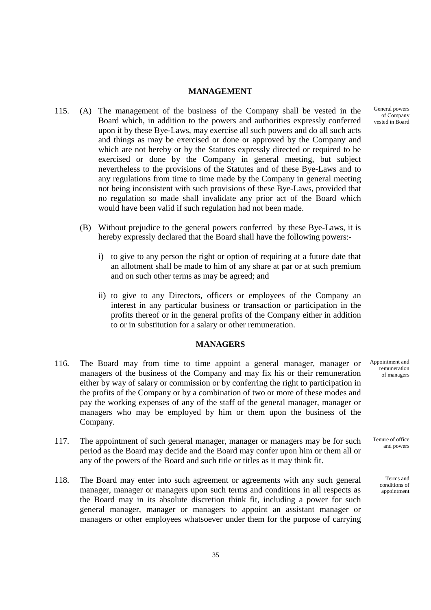### **MANAGEMENT**

- 115. (A) The management of the business of the Company shall be vested in the Board which, in addition to the powers and authorities expressly conferred upon it by these Bye-Laws, may exercise all such powers and do all such acts and things as may be exercised or done or approved by the Company and which are not hereby or by the Statutes expressly directed or required to be exercised or done by the Company in general meeting, but subject nevertheless to the provisions of the Statutes and of these Bye-Laws and to any regulations from time to time made by the Company in general meeting not being inconsistent with such provisions of these Bye-Laws, provided that no regulation so made shall invalidate any prior act of the Board which would have been valid if such regulation had not been made.
	- (B) Without prejudice to the general powers conferred by these Bye-Laws, it is hereby expressly declared that the Board shall have the following powers:
		- i) to give to any person the right or option of requiring at a future date that an allotment shall be made to him of any share at par or at such premium and on such other terms as may be agreed; and
		- ii) to give to any Directors, officers or employees of the Company an interest in any particular business or transaction or participation in the profits thereof or in the general profits of the Company either in addition to or in substitution for a salary or other remuneration.

## **MANAGERS**

- 116. The Board may from time to time appoint a general manager, manager or managers of the business of the Company and may fix his or their remuneration either by way of salary or commission or by conferring the right to participation in the profits of the Company or by a combination of two or more of these modes and pay the working expenses of any of the staff of the general manager, manager or managers who may be employed by him or them upon the business of the Company.
- 117. The appointment of such general manager, manager or managers may be for such period as the Board may decide and the Board may confer upon him or them all or any of the powers of the Board and such title or titles as it may think fit.
- 118. The Board may enter into such agreement or agreements with any such general manager, manager or managers upon such terms and conditions in all respects as the Board may in its absolute discretion think fit, including a power for such general manager, manager or managers to appoint an assistant manager or managers or other employees whatsoever under them for the purpose of carrying

Appointment and remuneration of managers

Tenure of office and powers

> Terms and conditions of appointment

General powers of Company vested in Board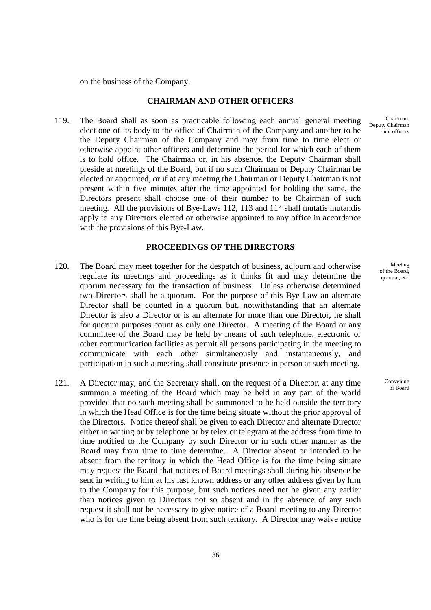on the business of the Company.

# **CHAIRMAN AND OTHER OFFICERS**

 119. The Board shall as soon as practicable following each annual general meeting elect one of its body to the office of Chairman of the Company and another to be the Deputy Chairman of the Company and may from time to time elect or otherwise appoint other officers and determine the period for which each of them is to hold office. The Chairman or, in his absence, the Deputy Chairman shall preside at meetings of the Board, but if no such Chairman or Deputy Chairman be elected or appointed, or if at any meeting the Chairman or Deputy Chairman is not present within five minutes after the time appointed for holding the same, the Directors present shall choose one of their number to be Chairman of such meeting. All the provisions of Bye-Laws 112, 113 and 114 shall mutatis mutandis apply to any Directors elected or otherwise appointed to any office in accordance with the provisions of this Bye-Law.

#### **PROCEEDINGS OF THE DIRECTORS**

- 120. The Board may meet together for the despatch of business, adjourn and otherwise regulate its meetings and proceedings as it thinks fit and may determine the quorum necessary for the transaction of business. Unless otherwise determined two Directors shall be a quorum. For the purpose of this Bye-Law an alternate Director shall be counted in a quorum but, notwithstanding that an alternate Director is also a Director or is an alternate for more than one Director, he shall for quorum purposes count as only one Director. A meeting of the Board or any committee of the Board may be held by means of such telephone, electronic or other communication facilities as permit all persons participating in the meeting to communicate with each other simultaneously and instantaneously, and participation in such a meeting shall constitute presence in person at such meeting.
- 121. A Director may, and the Secretary shall, on the request of a Director, at any time summon a meeting of the Board which may be held in any part of the world provided that no such meeting shall be summoned to be held outside the territory in which the Head Office is for the time being situate without the prior approval of the Directors. Notice thereof shall be given to each Director and alternate Director either in writing or by telephone or by telex or telegram at the address from time to time notified to the Company by such Director or in such other manner as the Board may from time to time determine. A Director absent or intended to be absent from the territory in which the Head Office is for the time being situate may request the Board that notices of Board meetings shall during his absence be sent in writing to him at his last known address or any other address given by him to the Company for this purpose, but such notices need not be given any earlier than notices given to Directors not so absent and in the absence of any such request it shall not be necessary to give notice of a Board meeting to any Director who is for the time being absent from such territory. A Director may waive notice

Chairman, Deputy Chairman and officers

> Meeting of the Board, quorum, etc.

> > Convening of Board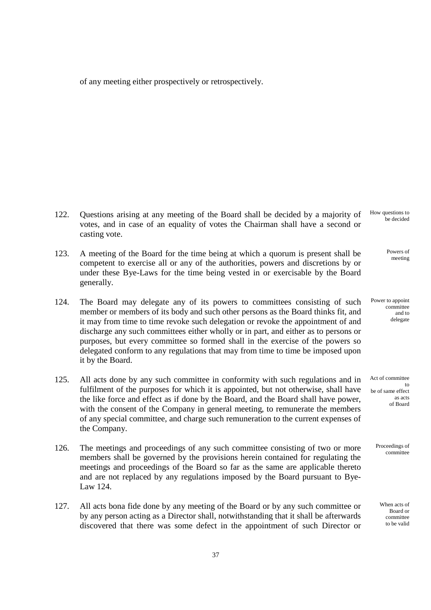of any meeting either prospectively or retrospectively.

- 122. Questions arising at any meeting of the Board shall be decided by a majority of votes, and in case of an equality of votes the Chairman shall have a second or casting vote.
- 123. A meeting of the Board for the time being at which a quorum is present shall be competent to exercise all or any of the authorities, powers and discretions by or under these Bye-Laws for the time being vested in or exercisable by the Board generally.
- 124. The Board may delegate any of its powers to committees consisting of such member or members of its body and such other persons as the Board thinks fit, and it may from time to time revoke such delegation or revoke the appointment of and discharge any such committees either wholly or in part, and either as to persons or purposes, but every committee so formed shall in the exercise of the powers so delegated conform to any regulations that may from time to time be imposed upon it by the Board.
- 125. All acts done by any such committee in conformity with such regulations and in fulfilment of the purposes for which it is appointed, but not otherwise, shall have the like force and effect as if done by the Board, and the Board shall have power, with the consent of the Company in general meeting, to remunerate the members of any special committee, and charge such remuneration to the current expenses of the Company.
- 126. The meetings and proceedings of any such committee consisting of two or more members shall be governed by the provisions herein contained for regulating the meetings and proceedings of the Board so far as the same are applicable thereto and are not replaced by any regulations imposed by the Board pursuant to Bye-Law 124.
- 127. All acts bona fide done by any meeting of the Board or by any such committee or by any person acting as a Director shall, notwithstanding that it shall be afterwards discovered that there was some defect in the appointment of such Director or

How questions to be decided

> Powers of meeting

Power to appoint committee and to delegate

Act of committee to be of same effect as acts of Board

> Proceedings of committee

> > When acts of Board or committee to be valid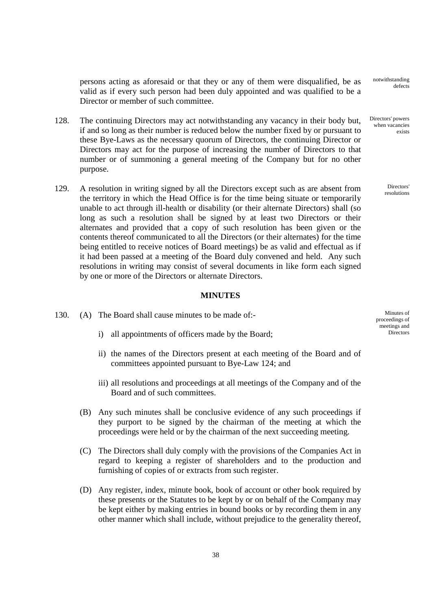persons acting as aforesaid or that they or any of them were disqualified, be as valid as if every such person had been duly appointed and was qualified to be a Director or member of such committee.

- 128. The continuing Directors may act notwithstanding any vacancy in their body but, if and so long as their number is reduced below the number fixed by or pursuant to these Bye-Laws as the necessary quorum of Directors, the continuing Director or Directors may act for the purpose of increasing the number of Directors to that number or of summoning a general meeting of the Company but for no other purpose.
- 129. A resolution in writing signed by all the Directors except such as are absent from the territory in which the Head Office is for the time being situate or temporarily unable to act through ill-health or disability (or their alternate Directors) shall (so long as such a resolution shall be signed by at least two Directors or their alternates and provided that a copy of such resolution has been given or the contents thereof communicated to all the Directors (or their alternates) for the time being entitled to receive notices of Board meetings) be as valid and effectual as if it had been passed at a meeting of the Board duly convened and held. Any such resolutions in writing may consist of several documents in like form each signed by one or more of the Directors or alternate Directors.

## **MINUTES**

- 130. (A) The Board shall cause minutes to be made of:
	- i) all appointments of officers made by the Board;
	- ii) the names of the Directors present at each meeting of the Board and of committees appointed pursuant to Bye-Law 124; and
	- iii) all resolutions and proceedings at all meetings of the Company and of the Board and of such committees.
	- (B) Any such minutes shall be conclusive evidence of any such proceedings if they purport to be signed by the chairman of the meeting at which the proceedings were held or by the chairman of the next succeeding meeting.
	- (C) The Directors shall duly comply with the provisions of the Companies Act in regard to keeping a register of shareholders and to the production and furnishing of copies of or extracts from such register.
	- (D) Any register, index, minute book, book of account or other book required by these presents or the Statutes to be kept by or on behalf of the Company may be kept either by making entries in bound books or by recording them in any other manner which shall include, without prejudice to the generality thereof,

Minutes of proceedings of meetings and **Directors** 

notwithstanding defects

Directors' powers when vacancies exists

> Directors' resolutions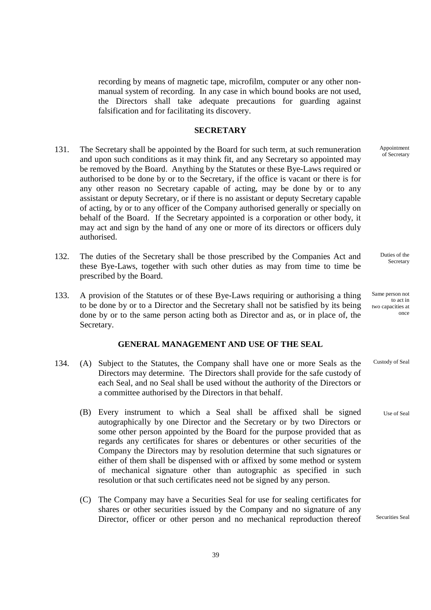recording by means of magnetic tape, microfilm, computer or any other nonmanual system of recording. In any case in which bound books are not used, the Directors shall take adequate precautions for guarding against falsification and for facilitating its discovery.

### **SECRETARY**

- 131. The Secretary shall be appointed by the Board for such term, at such remuneration and upon such conditions as it may think fit, and any Secretary so appointed may be removed by the Board. Anything by the Statutes or these Bye-Laws required or authorised to be done by or to the Secretary, if the office is vacant or there is for any other reason no Secretary capable of acting, may be done by or to any assistant or deputy Secretary, or if there is no assistant or deputy Secretary capable of acting, by or to any officer of the Company authorised generally or specially on behalf of the Board. If the Secretary appointed is a corporation or other body, it may act and sign by the hand of any one or more of its directors or officers duly authorised.
- 132. The duties of the Secretary shall be those prescribed by the Companies Act and these Bye-Laws, together with such other duties as may from time to time be prescribed by the Board.
- 133. A provision of the Statutes or of these Bye-Laws requiring or authorising a thing to be done by or to a Director and the Secretary shall not be satisfied by its being done by or to the same person acting both as Director and as, or in place of, the Secretary.

## **GENERAL MANAGEMENT AND USE OF THE SEAL**

- 134. (A) Subject to the Statutes, the Company shall have one or more Seals as the Directors may determine. The Directors shall provide for the safe custody of each Seal, and no Seal shall be used without the authority of the Directors or a committee authorised by the Directors in that behalf.
	- (B) Every instrument to which a Seal shall be affixed shall be signed autographically by one Director and the Secretary or by two Directors or some other person appointed by the Board for the purpose provided that as regards any certificates for shares or debentures or other securities of the Company the Directors may by resolution determine that such signatures or either of them shall be dispensed with or affixed by some method or system of mechanical signature other than autographic as specified in such resolution or that such certificates need not be signed by any person.
	- (C) The Company may have a Securities Seal for use for sealing certificates for shares or other securities issued by the Company and no signature of any Director, officer or other person and no mechanical reproduction thereof

Appointment of Secretary

Duties of the Secretary

Same person not to act in two capacities at once

Custody of Seal

Use of Seal

Securities Seal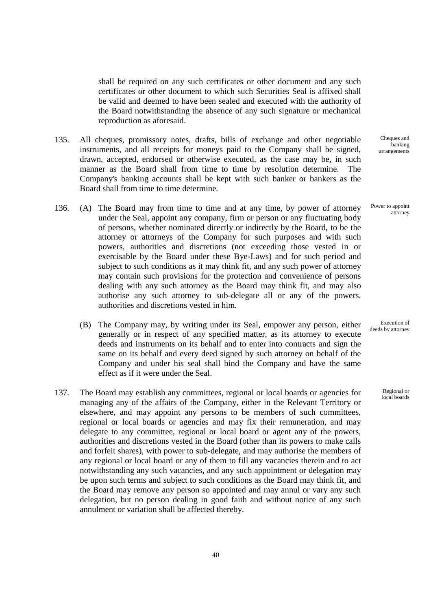shall be required on any such certificates or other document and any such certificates or other document to which such Securities Seal is affixed shall be valid and deemed to have been sealed and executed with the authority of the Board notwithstanding the absence of any such signature or mechanical reproduction as aforesaid.

- 135. All cheques, promissory notes, drafts, bills of exchange and other negotiable instruments, and all receipts for moneys paid to the Company shall be signed, drawn, accepted, endorsed or otherwise executed, as the case may be, in such manner as the Board shall from time to time by resolution determine. The Company's banking accounts shall be kept with such banker or bankers as the Board shall from time to time determine.
- 136. (A) The Board may from time to time and at any time, by power of attorney under the Seal, appoint any company, firm or person or any fluctuating body of persons, whether nominated directly or indirectly by the Board, to be the attorney or attorneys of the Company for such purposes and with such powers, authorities and discretions (not exceeding those vested in or exercisable by the Board under these Bye-Laws) and for such period and subject to such conditions as it may think fit, and any such power of attorney may contain such provisions for the protection and convenience of persons dealing with any such attorney as the Board may think fit, and may also authorise any such attorney to sub-delegate all or any of the powers, authorities and discretions vested in him.
	- (B) The Company may, by writing under its Seal, empower any person, either generally or in respect of any specified matter, as its attorney to execute deeds and instruments on its behalf and to enter into contracts and sign the same on its behalf and every deed signed by such attorney on behalf of the Company and under his seal shall bind the Company and have the same effect as if it were under the Seal.
- 137. The Board may establish any committees, regional or local boards or agencies for managing any of the affairs of the Company, either in the Relevant Territory or elsewhere, and may appoint any persons to be members of such committees, regional or local boards or agencies and may fix their remuneration, and may delegate to any committee, regional or local board or agent any of the powers, authorities and discretions vested in the Board (other than its powers to make calls and forfeit shares), with power to sub-delegate, and may authorise the members of any regional or local board or any of them to fill any vacancies therein and to act notwithstanding any such vacancies, and any such appointment or delegation may be upon such terms and subject to such conditions as the Board may think fit, and the Board may remove any person so appointed and may annul or vary any such delegation, but no person dealing in good faith and without notice of any such annulment or variation shall be affected thereby.

Cheques and banking arrangements

Power to appoint attorney

Execution of deeds by attorney

> Regional or local boards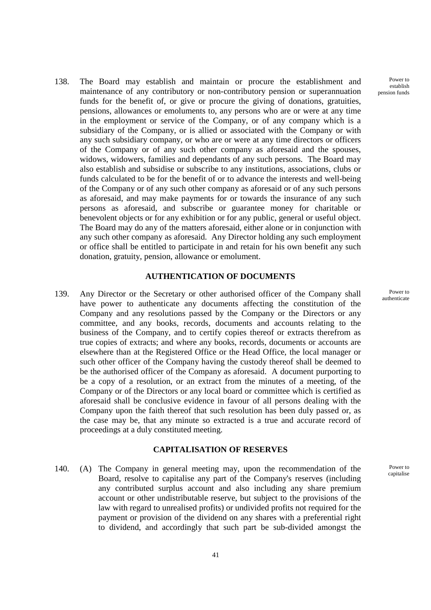138. The Board may establish and maintain or procure the establishment and maintenance of any contributory or non-contributory pension or superannuation funds for the benefit of, or give or procure the giving of donations, gratuities, pensions, allowances or emoluments to, any persons who are or were at any time in the employment or service of the Company, or of any company which is a subsidiary of the Company, or is allied or associated with the Company or with any such subsidiary company, or who are or were at any time directors or officers of the Company or of any such other company as aforesaid and the spouses, widows, widowers, families and dependants of any such persons. The Board may also establish and subsidise or subscribe to any institutions, associations, clubs or funds calculated to be for the benefit of or to advance the interests and well-being of the Company or of any such other company as aforesaid or of any such persons as aforesaid, and may make payments for or towards the insurance of any such persons as aforesaid, and subscribe or guarantee money for charitable or benevolent objects or for any exhibition or for any public, general or useful object. The Board may do any of the matters aforesaid, either alone or in conjunction with any such other company as aforesaid. Any Director holding any such employment or office shall be entitled to participate in and retain for his own benefit any such donation, gratuity, pension, allowance or emolument.

#### **AUTHENTICATION OF DOCUMENTS**

 139. Any Director or the Secretary or other authorised officer of the Company shall have power to authenticate any documents affecting the constitution of the Company and any resolutions passed by the Company or the Directors or any committee, and any books, records, documents and accounts relating to the business of the Company, and to certify copies thereof or extracts therefrom as true copies of extracts; and where any books, records, documents or accounts are elsewhere than at the Registered Office or the Head Office, the local manager or such other officer of the Company having the custody thereof shall be deemed to be the authorised officer of the Company as aforesaid. A document purporting to be a copy of a resolution, or an extract from the minutes of a meeting, of the Company or of the Directors or any local board or committee which is certified as aforesaid shall be conclusive evidence in favour of all persons dealing with the Company upon the faith thereof that such resolution has been duly passed or, as the case may be, that any minute so extracted is a true and accurate record of proceedings at a duly constituted meeting.

#### **CAPITALISATION OF RESERVES**

 140. (A) The Company in general meeting may, upon the recommendation of the Board, resolve to capitalise any part of the Company's reserves (including any contributed surplus account and also including any share premium account or other undistributable reserve, but subject to the provisions of the law with regard to unrealised profits) or undivided profits not required for the payment or provision of the dividend on any shares with a preferential right to dividend, and accordingly that such part be sub-divided amongst the

Power to establish pension funds

> Power to authenticate

> > Power to capitalise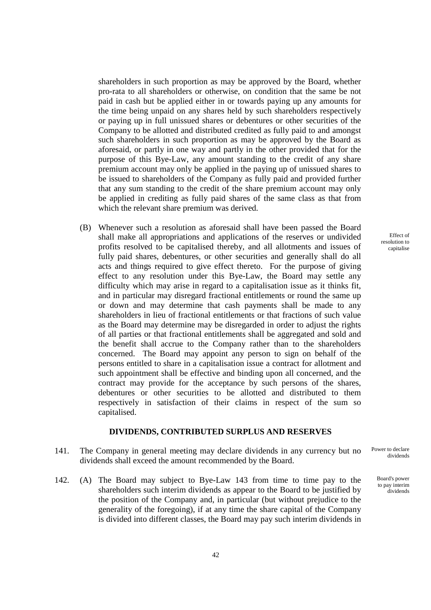shareholders in such proportion as may be approved by the Board, whether pro-rata to all shareholders or otherwise, on condition that the same be not paid in cash but be applied either in or towards paying up any amounts for the time being unpaid on any shares held by such shareholders respectively or paying up in full unissued shares or debentures or other securities of the Company to be allotted and distributed credited as fully paid to and amongst such shareholders in such proportion as may be approved by the Board as aforesaid, or partly in one way and partly in the other provided that for the purpose of this Bye-Law, any amount standing to the credit of any share premium account may only be applied in the paying up of unissued shares to be issued to shareholders of the Company as fully paid and provided further that any sum standing to the credit of the share premium account may only be applied in crediting as fully paid shares of the same class as that from which the relevant share premium was derived.

(B) Whenever such a resolution as aforesaid shall have been passed the Board shall make all appropriations and applications of the reserves or undivided profits resolved to be capitalised thereby, and all allotments and issues of fully paid shares, debentures, or other securities and generally shall do all acts and things required to give effect thereto. For the purpose of giving effect to any resolution under this Bye-Law, the Board may settle any difficulty which may arise in regard to a capitalisation issue as it thinks fit, and in particular may disregard fractional entitlements or round the same up or down and may determine that cash payments shall be made to any shareholders in lieu of fractional entitlements or that fractions of such value as the Board may determine may be disregarded in order to adjust the rights of all parties or that fractional entitlements shall be aggregated and sold and the benefit shall accrue to the Company rather than to the shareholders concerned. The Board may appoint any person to sign on behalf of the persons entitled to share in a capitalisation issue a contract for allotment and such appointment shall be effective and binding upon all concerned, and the contract may provide for the acceptance by such persons of the shares, debentures or other securities to be allotted and distributed to them respectively in satisfaction of their claims in respect of the sum so capitalised.

#### **DIVIDENDS, CONTRIBUTED SURPLUS AND RESERVES**

- 141. The Company in general meeting may declare dividends in any currency but no dividends shall exceed the amount recommended by the Board.
- 142. (A) The Board may subject to Bye-Law 143 from time to time pay to the shareholders such interim dividends as appear to the Board to be justified by the position of the Company and, in particular (but without prejudice to the generality of the foregoing), if at any time the share capital of the Company is divided into different classes, the Board may pay such interim dividends in

Effect of resolution to capitalise

Power to declare dividends

> Board's power to pay interim dividends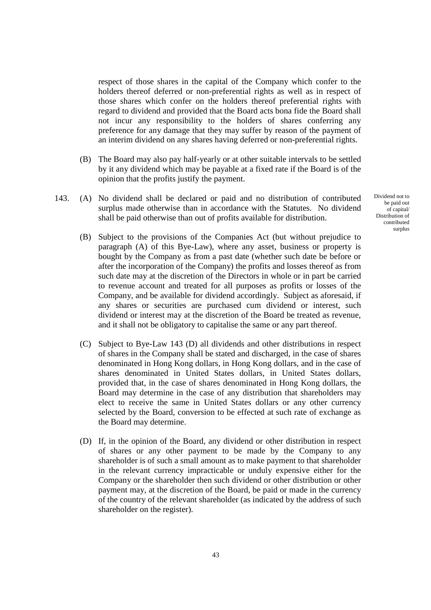respect of those shares in the capital of the Company which confer to the holders thereof deferred or non-preferential rights as well as in respect of those shares which confer on the holders thereof preferential rights with regard to dividend and provided that the Board acts bona fide the Board shall not incur any responsibility to the holders of shares conferring any preference for any damage that they may suffer by reason of the payment of an interim dividend on any shares having deferred or non-preferential rights.

- (B) The Board may also pay half-yearly or at other suitable intervals to be settled by it any dividend which may be payable at a fixed rate if the Board is of the opinion that the profits justify the payment.
- 143. (A) No dividend shall be declared or paid and no distribution of contributed surplus made otherwise than in accordance with the Statutes. No dividend shall be paid otherwise than out of profits available for distribution.
	- (B) Subject to the provisions of the Companies Act (but without prejudice to paragraph (A) of this Bye-Law), where any asset, business or property is bought by the Company as from a past date (whether such date be before or after the incorporation of the Company) the profits and losses thereof as from such date may at the discretion of the Directors in whole or in part be carried to revenue account and treated for all purposes as profits or losses of the Company, and be available for dividend accordingly. Subject as aforesaid, if any shares or securities are purchased cum dividend or interest, such dividend or interest may at the discretion of the Board be treated as revenue, and it shall not be obligatory to capitalise the same or any part thereof.
	- (C) Subject to Bye-Law 143 (D) all dividends and other distributions in respect of shares in the Company shall be stated and discharged, in the case of shares denominated in Hong Kong dollars, in Hong Kong dollars, and in the case of shares denominated in United States dollars, in United States dollars, provided that, in the case of shares denominated in Hong Kong dollars, the Board may determine in the case of any distribution that shareholders may elect to receive the same in United States dollars or any other currency selected by the Board, conversion to be effected at such rate of exchange as the Board may determine.
	- (D) If, in the opinion of the Board, any dividend or other distribution in respect of shares or any other payment to be made by the Company to any shareholder is of such a small amount as to make payment to that shareholder in the relevant currency impracticable or unduly expensive either for the Company or the shareholder then such dividend or other distribution or other payment may, at the discretion of the Board, be paid or made in the currency of the country of the relevant shareholder (as indicated by the address of such shareholder on the register).

Dividend not to be paid out of capital/ Distribution of contributed surplus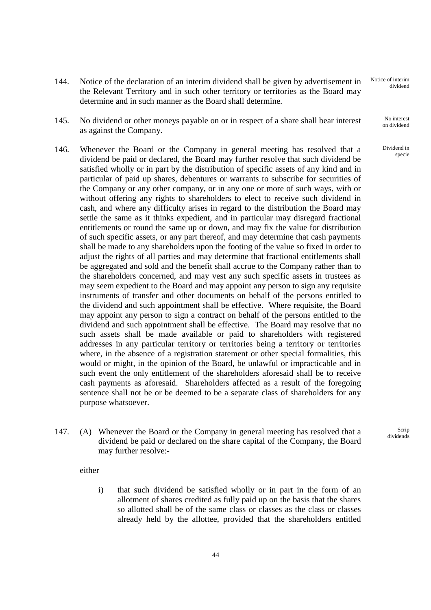- 144. Notice of the declaration of an interim dividend shall be given by advertisement in the Relevant Territory and in such other territory or territories as the Board may determine and in such manner as the Board shall determine.
- 145. No dividend or other moneys payable on or in respect of a share shall bear interest as against the Company.
- 146. Whenever the Board or the Company in general meeting has resolved that a dividend be paid or declared, the Board may further resolve that such dividend be satisfied wholly or in part by the distribution of specific assets of any kind and in particular of paid up shares, debentures or warrants to subscribe for securities of the Company or any other company, or in any one or more of such ways, with or without offering any rights to shareholders to elect to receive such dividend in cash, and where any difficulty arises in regard to the distribution the Board may settle the same as it thinks expedient, and in particular may disregard fractional entitlements or round the same up or down, and may fix the value for distribution of such specific assets, or any part thereof, and may determine that cash payments shall be made to any shareholders upon the footing of the value so fixed in order to adjust the rights of all parties and may determine that fractional entitlements shall be aggregated and sold and the benefit shall accrue to the Company rather than to the shareholders concerned, and may vest any such specific assets in trustees as may seem expedient to the Board and may appoint any person to sign any requisite instruments of transfer and other documents on behalf of the persons entitled to the dividend and such appointment shall be effective. Where requisite, the Board may appoint any person to sign a contract on behalf of the persons entitled to the dividend and such appointment shall be effective. The Board may resolve that no such assets shall be made available or paid to shareholders with registered addresses in any particular territory or territories being a territory or territories where, in the absence of a registration statement or other special formalities, this would or might, in the opinion of the Board, be unlawful or impracticable and in such event the only entitlement of the shareholders aforesaid shall be to receive cash payments as aforesaid. Shareholders affected as a result of the foregoing sentence shall not be or be deemed to be a separate class of shareholders for any purpose whatsoever.
- 147. (A) Whenever the Board or the Company in general meeting has resolved that a dividend be paid or declared on the share capital of the Company, the Board may further resolve:-

Scrip dividends

either

i) that such dividend be satisfied wholly or in part in the form of an allotment of shares credited as fully paid up on the basis that the shares so allotted shall be of the same class or classes as the class or classes already held by the allottee, provided that the shareholders entitled

44

Notice of interim dividend

> No interest on dividend

Dividend in specie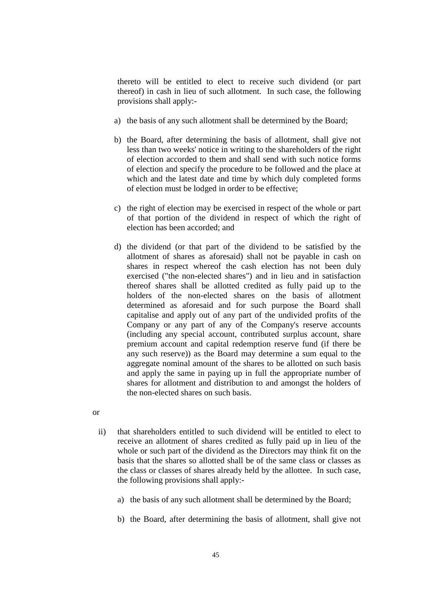thereto will be entitled to elect to receive such dividend (or part thereof) in cash in lieu of such allotment. In such case, the following provisions shall apply:-

- a) the basis of any such allotment shall be determined by the Board;
- b) the Board, after determining the basis of allotment, shall give not less than two weeks' notice in writing to the shareholders of the right of election accorded to them and shall send with such notice forms of election and specify the procedure to be followed and the place at which and the latest date and time by which duly completed forms of election must be lodged in order to be effective;
- c) the right of election may be exercised in respect of the whole or part of that portion of the dividend in respect of which the right of election has been accorded; and
- d) the dividend (or that part of the dividend to be satisfied by the allotment of shares as aforesaid) shall not be payable in cash on shares in respect whereof the cash election has not been duly exercised ("the non-elected shares") and in lieu and in satisfaction thereof shares shall be allotted credited as fully paid up to the holders of the non-elected shares on the basis of allotment determined as aforesaid and for such purpose the Board shall capitalise and apply out of any part of the undivided profits of the Company or any part of any of the Company's reserve accounts (including any special account, contributed surplus account, share premium account and capital redemption reserve fund (if there be any such reserve)) as the Board may determine a sum equal to the aggregate nominal amount of the shares to be allotted on such basis and apply the same in paying up in full the appropriate number of shares for allotment and distribution to and amongst the holders of the non-elected shares on such basis.

or

- ii) that shareholders entitled to such dividend will be entitled to elect to receive an allotment of shares credited as fully paid up in lieu of the whole or such part of the dividend as the Directors may think fit on the basis that the shares so allotted shall be of the same class or classes as the class or classes of shares already held by the allottee. In such case, the following provisions shall apply:
	- a) the basis of any such allotment shall be determined by the Board;
	- b) the Board, after determining the basis of allotment, shall give not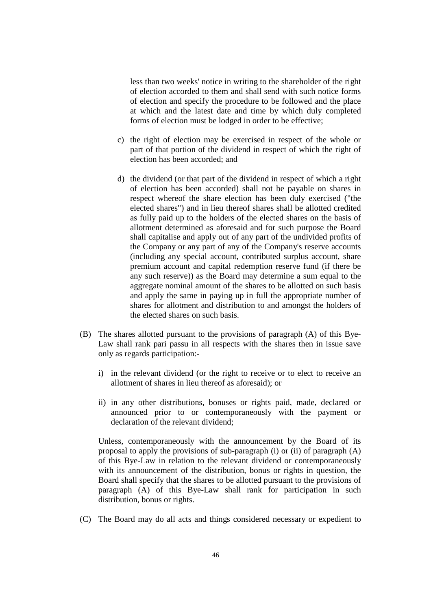less than two weeks' notice in writing to the shareholder of the right of election accorded to them and shall send with such notice forms of election and specify the procedure to be followed and the place at which and the latest date and time by which duly completed forms of election must be lodged in order to be effective;

- c) the right of election may be exercised in respect of the whole or part of that portion of the dividend in respect of which the right of election has been accorded; and
- d) the dividend (or that part of the dividend in respect of which a right of election has been accorded) shall not be payable on shares in respect whereof the share election has been duly exercised ("the elected shares") and in lieu thereof shares shall be allotted credited as fully paid up to the holders of the elected shares on the basis of allotment determined as aforesaid and for such purpose the Board shall capitalise and apply out of any part of the undivided profits of the Company or any part of any of the Company's reserve accounts (including any special account, contributed surplus account, share premium account and capital redemption reserve fund (if there be any such reserve)) as the Board may determine a sum equal to the aggregate nominal amount of the shares to be allotted on such basis and apply the same in paying up in full the appropriate number of shares for allotment and distribution to and amongst the holders of the elected shares on such basis.
- (B) The shares allotted pursuant to the provisions of paragraph (A) of this Bye-Law shall rank pari passu in all respects with the shares then in issue save only as regards participation:
	- i) in the relevant dividend (or the right to receive or to elect to receive an allotment of shares in lieu thereof as aforesaid); or
	- ii) in any other distributions, bonuses or rights paid, made, declared or announced prior to or contemporaneously with the payment or declaration of the relevant dividend;

Unless, contemporaneously with the announcement by the Board of its proposal to apply the provisions of sub-paragraph (i) or (ii) of paragraph (A) of this Bye-Law in relation to the relevant dividend or contemporaneously with its announcement of the distribution, bonus or rights in question, the Board shall specify that the shares to be allotted pursuant to the provisions of paragraph (A) of this Bye-Law shall rank for participation in such distribution, bonus or rights.

(C) The Board may do all acts and things considered necessary or expedient to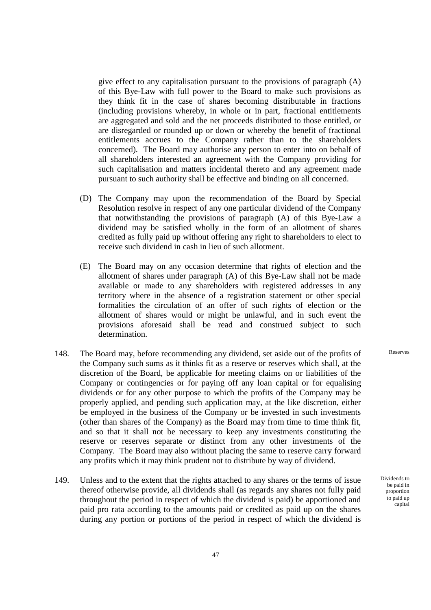give effect to any capitalisation pursuant to the provisions of paragraph (A) of this Bye-Law with full power to the Board to make such provisions as they think fit in the case of shares becoming distributable in fractions (including provisions whereby, in whole or in part, fractional entitlements are aggregated and sold and the net proceeds distributed to those entitled, or are disregarded or rounded up or down or whereby the benefit of fractional entitlements accrues to the Company rather than to the shareholders concerned). The Board may authorise any person to enter into on behalf of all shareholders interested an agreement with the Company providing for such capitalisation and matters incidental thereto and any agreement made pursuant to such authority shall be effective and binding on all concerned.

- (D) The Company may upon the recommendation of the Board by Special Resolution resolve in respect of any one particular dividend of the Company that notwithstanding the provisions of paragraph (A) of this Bye-Law a dividend may be satisfied wholly in the form of an allotment of shares credited as fully paid up without offering any right to shareholders to elect to receive such dividend in cash in lieu of such allotment.
- (E) The Board may on any occasion determine that rights of election and the allotment of shares under paragraph (A) of this Bye-Law shall not be made available or made to any shareholders with registered addresses in any territory where in the absence of a registration statement or other special formalities the circulation of an offer of such rights of election or the allotment of shares would or might be unlawful, and in such event the provisions aforesaid shall be read and construed subject to such determination.
- 148. The Board may, before recommending any dividend, set aside out of the profits of the Company such sums as it thinks fit as a reserve or reserves which shall, at the discretion of the Board, be applicable for meeting claims on or liabilities of the Company or contingencies or for paying off any loan capital or for equalising dividends or for any other purpose to which the profits of the Company may be properly applied, and pending such application may, at the like discretion, either be employed in the business of the Company or be invested in such investments (other than shares of the Company) as the Board may from time to time think fit, and so that it shall not be necessary to keep any investments constituting the reserve or reserves separate or distinct from any other investments of the Company. The Board may also without placing the same to reserve carry forward any profits which it may think prudent not to distribute by way of dividend.
- 149. Unless and to the extent that the rights attached to any shares or the terms of issue thereof otherwise provide, all dividends shall (as regards any shares not fully paid throughout the period in respect of which the dividend is paid) be apportioned and paid pro rata according to the amounts paid or credited as paid up on the shares during any portion or portions of the period in respect of which the dividend is

Reserves

Dividends to be paid in proportion to paid up capital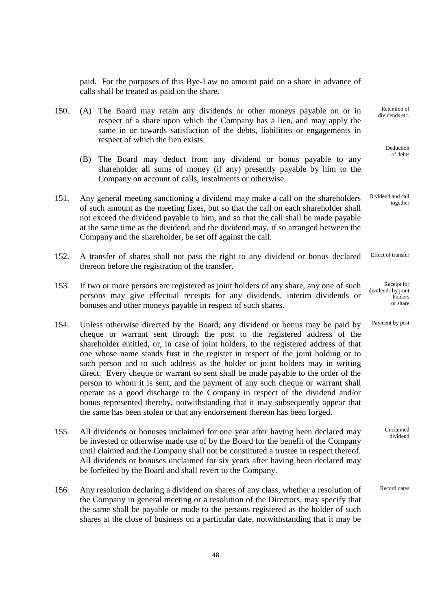paid. For the purposes of this Bye-Law no amount paid on a share in advance of calls shall be treated as paid on the share.

> Retention of dividends etc.

> > Deduction of debts

Receipt for

Payment by post

Unclaimed dividend

holders of share

- 150. (A) The Board may retain any dividends or other moneys payable on or in respect of a share upon which the Company has a lien, and may apply the same in or towards satisfaction of the debts, liabilities or engagements in respect of which the lien exists.
	- (B) The Board may deduct from any dividend or bonus payable to any shareholder all sums of money (if any) presently payable by him to the Company on account of calls, instalments or otherwise.
- 151. Any general meeting sanctioning a dividend may make a call on the shareholders of such amount as the meeting fixes, but so that the call on each shareholder shall not exceed the dividend payable to him, and so that the call shall be made payable at the same time as the dividend, and the dividend may, if so arranged between the Company and the shareholder, be set off against the call. Dividend and call together
- 152. A transfer of shares shall not pass the right to any dividend or bonus declared thereon before the registration of the transfer. Effect of transfer
- 153. If two or more persons are registered as joint holders of any share, any one of such persons may give effectual receipts for any dividends, interim dividends or bonuses and other moneys payable in respect of such shares. dividends by joint
- 154. Unless otherwise directed by the Board, any dividend or bonus may be paid by cheque or warrant sent through the post to the registered address of the shareholder entitled, or, in case of joint holders, to the registered address of that one whose name stands first in the register in respect of the joint holding or to such person and to such address as the holder or joint holders may in writing direct. Every cheque or warrant so sent shall be made payable to the order of the person to whom it is sent, and the payment of any such cheque or warrant shall operate as a good discharge to the Company in respect of the dividend and/or bonus represented thereby, notwithstanding that it may subsequently appear that the same has been stolen or that any endorsement thereon has been forged.
- 155. All dividends or bonuses unclaimed for one year after having been declared may be invested or otherwise made use of by the Board for the benefit of the Company until claimed and the Company shall not be constituted a trustee in respect thereof. All dividends or bonuses unclaimed for six years after having been declared may be forfeited by the Board and shall revert to the Company.
- 156. Any resolution declaring a dividend on shares of any class, whether a resolution of the Company in general meeting or a resolution of the Directors, may specify that the same shall be payable or made to the persons registered as the holder of such shares at the close of business on a particular date, notwithstanding that it may be Record dates

48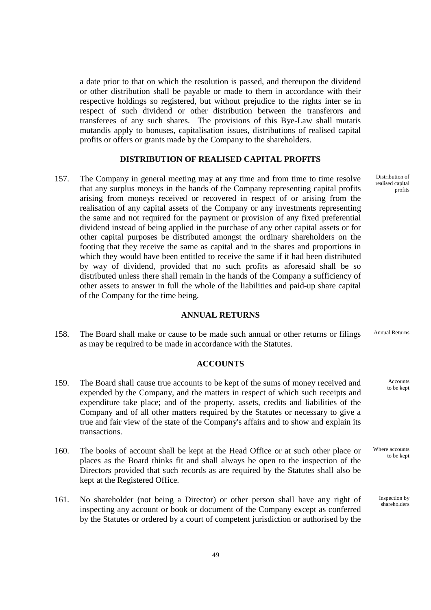a date prior to that on which the resolution is passed, and thereupon the dividend or other distribution shall be payable or made to them in accordance with their respective holdings so registered, but without prejudice to the rights inter se in respect of such dividend or other distribution between the transferors and transferees of any such shares. The provisions of this Bye-Law shall mutatis mutandis apply to bonuses, capitalisation issues, distributions of realised capital profits or offers or grants made by the Company to the shareholders.

## **DISTRIBUTION OF REALISED CAPITAL PROFITS**

 157. The Company in general meeting may at any time and from time to time resolve that any surplus moneys in the hands of the Company representing capital profits arising from moneys received or recovered in respect of or arising from the realisation of any capital assets of the Company or any investments representing the same and not required for the payment or provision of any fixed preferential dividend instead of being applied in the purchase of any other capital assets or for other capital purposes be distributed amongst the ordinary shareholders on the footing that they receive the same as capital and in the shares and proportions in which they would have been entitled to receive the same if it had been distributed by way of dividend, provided that no such profits as aforesaid shall be so distributed unless there shall remain in the hands of the Company a sufficiency of other assets to answer in full the whole of the liabilities and paid-up share capital of the Company for the time being.

#### **ANNUAL RETURNS**

 158. The Board shall make or cause to be made such annual or other returns or filings as may be required to be made in accordance with the Statutes. Annual Returns

#### **ACCOUNTS**

- 159. The Board shall cause true accounts to be kept of the sums of money received and expended by the Company, and the matters in respect of which such receipts and expenditure take place; and of the property, assets, credits and liabilities of the Company and of all other matters required by the Statutes or necessary to give a true and fair view of the state of the Company's affairs and to show and explain its transactions.
- 160. The books of account shall be kept at the Head Office or at such other place or places as the Board thinks fit and shall always be open to the inspection of the Directors provided that such records as are required by the Statutes shall also be kept at the Registered Office.
- 161. No shareholder (not being a Director) or other person shall have any right of inspecting any account or book or document of the Company except as conferred by the Statutes or ordered by a court of competent jurisdiction or authorised by the

Distribution of realised capital profits

> Accounts to be kept

Where accounts to be kept

> Inspection by shareholders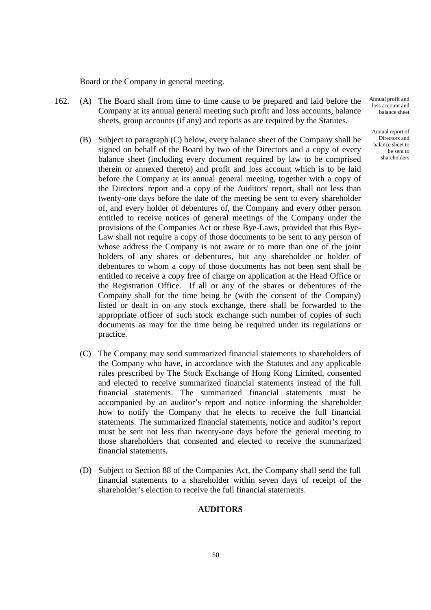Board or the Company in general meeting.

- 162. (A) The Board shall from time to time cause to be prepared and laid before the Company at its annual general meeting such profit and loss accounts, balance sheets, group accounts (if any) and reports as are required by the Statutes.
	- (B) Subject to paragraph (C) below, every balance sheet of the Company shall be signed on behalf of the Board by two of the Directors and a copy of every balance sheet (including every document required by law to be comprised therein or annexed thereto) and profit and loss account which is to be laid before the Company at its annual general meeting, together with a copy of the Directors' report and a copy of the Auditors' report, shall not less than twenty-one days before the date of the meeting be sent to every shareholder of, and every holder of debentures of, the Company and every other person entitled to receive notices of general meetings of the Company under the provisions of the Companies Act or these Bye-Laws, provided that this Bye-Law shall not require a copy of those documents to be sent to any person of whose address the Company is not aware or to more than one of the joint holders of any shares or debentures, but any shareholder or holder of debentures to whom a copy of those documents has not been sent shall be entitled to receive a copy free of charge on application at the Head Office or the Registration Office. If all or any of the shares or debentures of the Company shall for the time being be (with the consent of the Company) listed or dealt in on any stock exchange, there shall be forwarded to the appropriate officer of such stock exchange such number of copies of such documents as may for the time being be required under its regulations or practice.
	- (C) The Company may send summarized financial statements to shareholders of the Company who have, in accordance with the Statutes and any applicable rules prescribed by The Stock Exchange of Hong Kong Limited, consented and elected to receive summarized financial statements instead of the full financial statements. The summarized financial statements must be accompanied by an auditor's report and notice informing the shareholder how to notify the Company that he elects to receive the full financial statements. The summarized financial statements, notice and auditor's report must be sent not less than twenty-one days before the general meeting to those shareholders that consented and elected to receive the summarized financial statements.
	- (D) Subject to Section 88 of the Companies Act, the Company shall send the full financial statements to a shareholder within seven days of receipt of the shareholder's election to receive the full financial statements.

### **AUDITORS**

Annual report of Directors and balance sheet to be sent to shareholders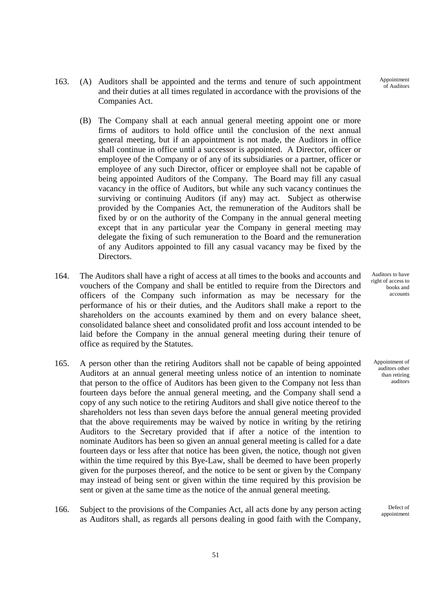163. (A) Auditors shall be appointed and the terms and tenure of such appointment and their duties at all times regulated in accordance with the provisions of the Companies Act.

- (B) The Company shall at each annual general meeting appoint one or more firms of auditors to hold office until the conclusion of the next annual general meeting, but if an appointment is not made, the Auditors in office shall continue in office until a successor is appointed. A Director, officer or employee of the Company or of any of its subsidiaries or a partner, officer or employee of any such Director, officer or employee shall not be capable of being appointed Auditors of the Company. The Board may fill any casual vacancy in the office of Auditors, but while any such vacancy continues the surviving or continuing Auditors (if any) may act. Subject as otherwise provided by the Companies Act, the remuneration of the Auditors shall be fixed by or on the authority of the Company in the annual general meeting except that in any particular year the Company in general meeting may delegate the fixing of such remuneration to the Board and the remuneration of any Auditors appointed to fill any casual vacancy may be fixed by the Directors.
- 164. The Auditors shall have a right of access at all times to the books and accounts and vouchers of the Company and shall be entitled to require from the Directors and officers of the Company such information as may be necessary for the performance of his or their duties, and the Auditors shall make a report to the shareholders on the accounts examined by them and on every balance sheet, consolidated balance sheet and consolidated profit and loss account intended to be laid before the Company in the annual general meeting during their tenure of office as required by the Statutes.
- 165. A person other than the retiring Auditors shall not be capable of being appointed Auditors at an annual general meeting unless notice of an intention to nominate that person to the office of Auditors has been given to the Company not less than fourteen days before the annual general meeting, and the Company shall send a copy of any such notice to the retiring Auditors and shall give notice thereof to the shareholders not less than seven days before the annual general meeting provided that the above requirements may be waived by notice in writing by the retiring Auditors to the Secretary provided that if after a notice of the intention to nominate Auditors has been so given an annual general meeting is called for a date fourteen days or less after that notice has been given, the notice, though not given within the time required by this Bye-Law, shall be deemed to have been properly given for the purposes thereof, and the notice to be sent or given by the Company may instead of being sent or given within the time required by this provision be sent or given at the same time as the notice of the annual general meeting.
- 166. Subject to the provisions of the Companies Act, all acts done by any person acting as Auditors shall, as regards all persons dealing in good faith with the Company,

Auditors to have right of access to books and accounts

Appointment of **anditors** other than retiring auditors

> Defect of appointment

Appointment of Auditors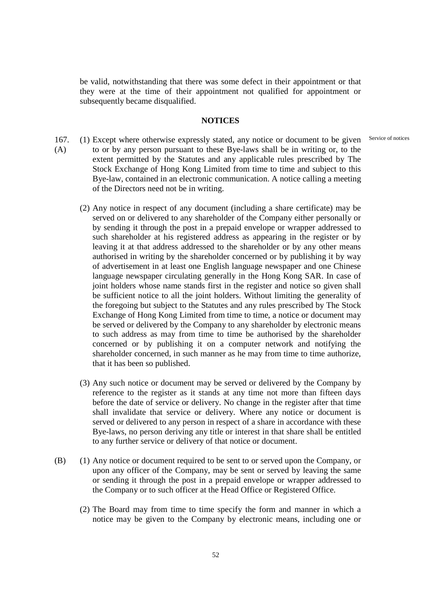be valid, notwithstanding that there was some defect in their appointment or that they were at the time of their appointment not qualified for appointment or subsequently became disqualified.

#### **NOTICES**

- 167. (A) (1) Except where otherwise expressly stated, any notice or document to be given to or by any person pursuant to these Bye-laws shall be in writing or, to the extent permitted by the Statutes and any applicable rules prescribed by The Stock Exchange of Hong Kong Limited from time to time and subject to this Bye-law, contained in an electronic communication. A notice calling a meeting of the Directors need not be in writing. Service of notices
	- (2) Any notice in respect of any document (including a share certificate) may be served on or delivered to any shareholder of the Company either personally or by sending it through the post in a prepaid envelope or wrapper addressed to such shareholder at his registered address as appearing in the register or by leaving it at that address addressed to the shareholder or by any other means authorised in writing by the shareholder concerned or by publishing it by way of advertisement in at least one English language newspaper and one Chinese language newspaper circulating generally in the Hong Kong SAR. In case of joint holders whose name stands first in the register and notice so given shall be sufficient notice to all the joint holders. Without limiting the generality of the foregoing but subject to the Statutes and any rules prescribed by The Stock Exchange of Hong Kong Limited from time to time, a notice or document may be served or delivered by the Company to any shareholder by electronic means to such address as may from time to time be authorised by the shareholder concerned or by publishing it on a computer network and notifying the shareholder concerned, in such manner as he may from time to time authorize, that it has been so published.
	- (3) Any such notice or document may be served or delivered by the Company by reference to the register as it stands at any time not more than fifteen days before the date of service or delivery. No change in the register after that time shall invalidate that service or delivery. Where any notice or document is served or delivered to any person in respect of a share in accordance with these Bye-laws, no person deriving any title or interest in that share shall be entitled to any further service or delivery of that notice or document.
- (B) (1) Any notice or document required to be sent to or served upon the Company, or upon any officer of the Company, may be sent or served by leaving the same or sending it through the post in a prepaid envelope or wrapper addressed to the Company or to such officer at the Head Office or Registered Office.
	- (2) The Board may from time to time specify the form and manner in which a notice may be given to the Company by electronic means, including one or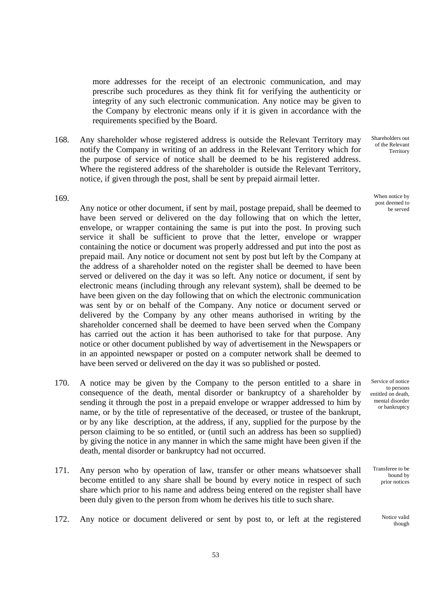more addresses for the receipt of an electronic communication, and may prescribe such procedures as they think fit for verifying the authenticity or integrity of any such electronic communication. Any notice may be given to the Company by electronic means only if it is given in accordance with the requirements specified by the Board.

 168. Any shareholder whose registered address is outside the Relevant Territory may notify the Company in writing of an address in the Relevant Territory which for the purpose of service of notice shall be deemed to be his registered address. Where the registered address of the shareholder is outside the Relevant Territory, notice, if given through the post, shall be sent by prepaid airmail letter.

Shareholders out of the Relevant Territory

When notice by post deemed to be served

169.

Any notice or other document, if sent by mail, postage prepaid, shall be deemed to have been served or delivered on the day following that on which the letter, envelope, or wrapper containing the same is put into the post. In proving such service it shall be sufficient to prove that the letter, envelope or wrapper containing the notice or document was properly addressed and put into the post as prepaid mail. Any notice or document not sent by post but left by the Company at the address of a shareholder noted on the register shall be deemed to have been served or delivered on the day it was so left. Any notice or document, if sent by electronic means (including through any relevant system), shall be deemed to be have been given on the day following that on which the electronic communication was sent by or on behalf of the Company. Any notice or document served or delivered by the Company by any other means authorised in writing by the shareholder concerned shall be deemed to have been served when the Company has carried out the action it has been authorised to take for that purpose. Any notice or other document published by way of advertisement in the Newspapers or in an appointed newspaper or posted on a computer network shall be deemed to have been served or delivered on the day it was so published or posted.

- 170. A notice may be given by the Company to the person entitled to a share in consequence of the death, mental disorder or bankruptcy of a shareholder by sending it through the post in a prepaid envelope or wrapper addressed to him by name, or by the title of representative of the deceased, or trustee of the bankrupt, or by any like description, at the address, if any, supplied for the purpose by the person claiming to be so entitled, or (until such an address has been so supplied) by giving the notice in any manner in which the same might have been given if the death, mental disorder or bankruptcy had not occurred.
- 171. Any person who by operation of law, transfer or other means whatsoever shall become entitled to any share shall be bound by every notice in respect of such share which prior to his name and address being entered on the register shall have been duly given to the person from whom he derives his title to such share.
- 172. Any notice or document delivered or sent by post to, or left at the registered Notice valid

Service of notice to persons entitled on death, mental disorder or bankruptcy

Transferee to be bound by prior notices

though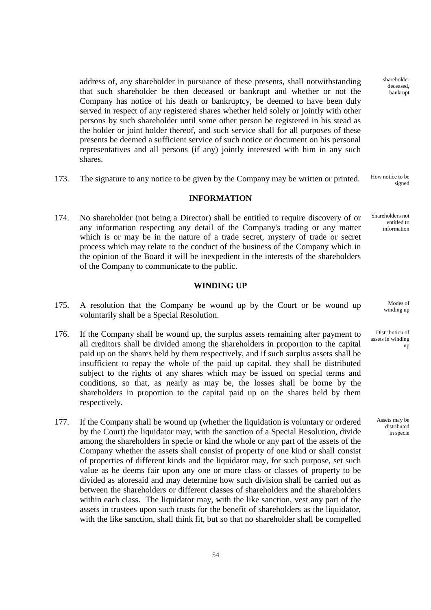address of, any shareholder in pursuance of these presents, shall notwithstanding that such shareholder be then deceased or bankrupt and whether or not the Company has notice of his death or bankruptcy, be deemed to have been duly served in respect of any registered shares whether held solely or jointly with other persons by such shareholder until some other person be registered in his stead as the holder or joint holder thereof, and such service shall for all purposes of these presents be deemed a sufficient service of such notice or document on his personal representatives and all persons (if any) jointly interested with him in any such shares.

173. The signature to any notice to be given by the Company may be written or printed. How notice to be

#### **INFORMATION**

 174. No shareholder (not being a Director) shall be entitled to require discovery of or any information respecting any detail of the Company's trading or any matter which is or may be in the nature of a trade secret, mystery of trade or secret process which may relate to the conduct of the business of the Company which in the opinion of the Board it will be inexpedient in the interests of the shareholders of the Company to communicate to the public.

## **WINDING UP**

- 175. A resolution that the Company be wound up by the Court or be wound up voluntarily shall be a Special Resolution.
- 176. If the Company shall be wound up, the surplus assets remaining after payment to all creditors shall be divided among the shareholders in proportion to the capital paid up on the shares held by them respectively, and if such surplus assets shall be insufficient to repay the whole of the paid up capital, they shall be distributed subject to the rights of any shares which may be issued on special terms and conditions, so that, as nearly as may be, the losses shall be borne by the shareholders in proportion to the capital paid up on the shares held by them respectively.
- 177. If the Company shall be wound up (whether the liquidation is voluntary or ordered by the Court) the liquidator may, with the sanction of a Special Resolution, divide among the shareholders in specie or kind the whole or any part of the assets of the Company whether the assets shall consist of property of one kind or shall consist of properties of different kinds and the liquidator may, for such purpose, set such value as he deems fair upon any one or more class or classes of property to be divided as aforesaid and may determine how such division shall be carried out as between the shareholders or different classes of shareholders and the shareholders within each class. The liquidator may, with the like sanction, vest any part of the assets in trustees upon such trusts for the benefit of shareholders as the liquidator, with the like sanction, shall think fit, but so that no shareholder shall be compelled

shareholder deceased, bankrupt

signed

Shareholders not entitled to information

> Modes of winding up

Distribution of assets in winding up

> Assets may be distributed in specie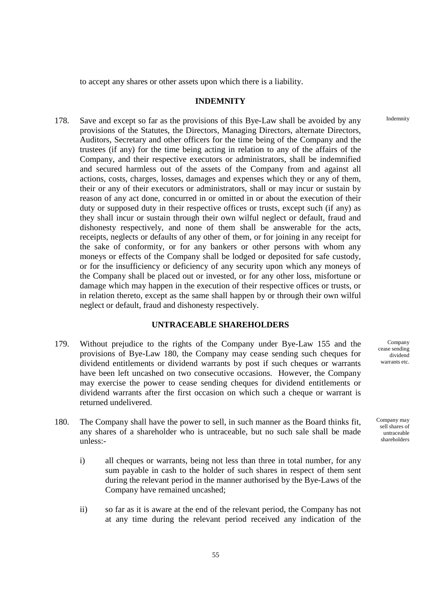to accept any shares or other assets upon which there is a liability.

## **INDEMNITY**

 178. Save and except so far as the provisions of this Bye-Law shall be avoided by any provisions of the Statutes, the Directors, Managing Directors, alternate Directors, Auditors, Secretary and other officers for the time being of the Company and the trustees (if any) for the time being acting in relation to any of the affairs of the Company, and their respective executors or administrators, shall be indemnified and secured harmless out of the assets of the Company from and against all actions, costs, charges, losses, damages and expenses which they or any of them, their or any of their executors or administrators, shall or may incur or sustain by reason of any act done, concurred in or omitted in or about the execution of their duty or supposed duty in their respective offices or trusts, except such (if any) as they shall incur or sustain through their own wilful neglect or default, fraud and dishonesty respectively, and none of them shall be answerable for the acts, receipts, neglects or defaults of any other of them, or for joining in any receipt for the sake of conformity, or for any bankers or other persons with whom any moneys or effects of the Company shall be lodged or deposited for safe custody, or for the insufficiency or deficiency of any security upon which any moneys of the Company shall be placed out or invested, or for any other loss, misfortune or damage which may happen in the execution of their respective offices or trusts, or in relation thereto, except as the same shall happen by or through their own wilful neglect or default, fraud and dishonesty respectively.

## **UNTRACEABLE SHAREHOLDERS**

- 179. Without prejudice to the rights of the Company under Bye-Law 155 and the provisions of Bye-Law 180, the Company may cease sending such cheques for dividend entitlements or dividend warrants by post if such cheques or warrants have been left uncashed on two consecutive occasions. However, the Company may exercise the power to cease sending cheques for dividend entitlements or dividend warrants after the first occasion on which such a cheque or warrant is returned undelivered.
- 180. The Company shall have the power to sell, in such manner as the Board thinks fit, any shares of a shareholder who is untraceable, but no such sale shall be made unless:
	- i) all cheques or warrants, being not less than three in total number, for any sum payable in cash to the holder of such shares in respect of them sent during the relevant period in the manner authorised by the Bye-Laws of the Company have remained uncashed;
	- ii) so far as it is aware at the end of the relevant period, the Company has not at any time during the relevant period received any indication of the

Company cease sending dividend warrants etc.

Company may sell shares of untraceable shareholders

Indemnity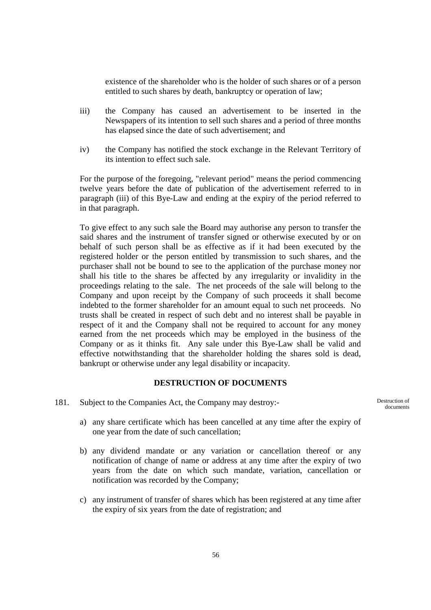existence of the shareholder who is the holder of such shares or of a person entitled to such shares by death, bankruptcy or operation of law;

- iii) the Company has caused an advertisement to be inserted in the Newspapers of its intention to sell such shares and a period of three months has elapsed since the date of such advertisement; and
- iv) the Company has notified the stock exchange in the Relevant Territory of its intention to effect such sale.

For the purpose of the foregoing, "relevant period" means the period commencing twelve years before the date of publication of the advertisement referred to in paragraph (iii) of this Bye-Law and ending at the expiry of the period referred to in that paragraph.

To give effect to any such sale the Board may authorise any person to transfer the said shares and the instrument of transfer signed or otherwise executed by or on behalf of such person shall be as effective as if it had been executed by the registered holder or the person entitled by transmission to such shares, and the purchaser shall not be bound to see to the application of the purchase money nor shall his title to the shares be affected by any irregularity or invalidity in the proceedings relating to the sale. The net proceeds of the sale will belong to the Company and upon receipt by the Company of such proceeds it shall become indebted to the former shareholder for an amount equal to such net proceeds. No trusts shall be created in respect of such debt and no interest shall be payable in respect of it and the Company shall not be required to account for any money earned from the net proceeds which may be employed in the business of the Company or as it thinks fit. Any sale under this Bye-Law shall be valid and effective notwithstanding that the shareholder holding the shares sold is dead, bankrupt or otherwise under any legal disability or incapacity.

## **DESTRUCTION OF DOCUMENTS**

- 181. Subject to the Companies Act, the Company may destroy:
	- a) any share certificate which has been cancelled at any time after the expiry of one year from the date of such cancellation;
	- b) any dividend mandate or any variation or cancellation thereof or any notification of change of name or address at any time after the expiry of two years from the date on which such mandate, variation, cancellation or notification was recorded by the Company;
	- c) any instrument of transfer of shares which has been registered at any time after the expiry of six years from the date of registration; and

Destruction of documents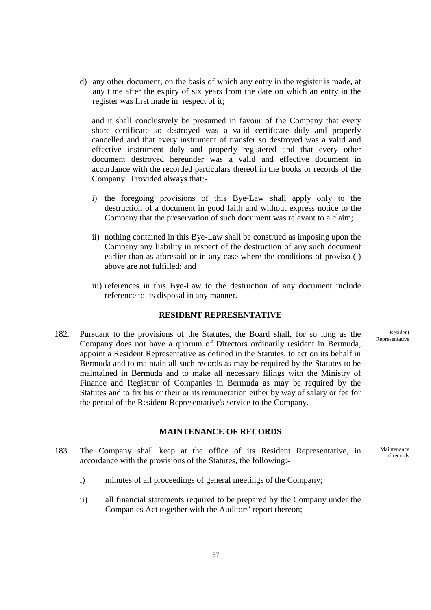d) any other document, on the basis of which any entry in the register is made, at any time after the expiry of six years from the date on which an entry in the register was first made in respect of it;

and it shall conclusively be presumed in favour of the Company that every share certificate so destroyed was a valid certificate duly and properly cancelled and that every instrument of transfer so destroyed was a valid and effective instrument duly and properly registered and that every other document destroyed hereunder was a valid and effective document in accordance with the recorded particulars thereof in the books or records of the Company. Provided always that:-

- i) the foregoing provisions of this Bye-Law shall apply only to the destruction of a document in good faith and without express notice to the Company that the preservation of such document was relevant to a claim;
- ii) nothing contained in this Bye-Law shall be construed as imposing upon the Company any liability in respect of the destruction of any such document earlier than as aforesaid or in any case where the conditions of proviso (i) above are not fulfilled; and
- iii) references in this Bye-Law to the destruction of any document include reference to its disposal in any manner.

## **RESIDENT REPRESENTATIVE**

 182. Pursuant to the provisions of the Statutes, the Board shall, for so long as the Company does not have a quorum of Directors ordinarily resident in Bermuda, appoint a Resident Representative as defined in the Statutes, to act on its behalf in Bermuda and to maintain all such records as may be required by the Statutes to be maintained in Bermuda and to make all necessary filings with the Ministry of Finance and Registrar of Companies in Bermuda as may be required by the Statutes and to fix his or their or its remuneration either by way of salary or fee for the period of the Resident Representative's service to the Company.

# **MAINTENANCE OF RECORDS**

- 183. The Company shall keep at the office of its Resident Representative, in accordance with the provisions of the Statutes, the following:
	- i) minutes of all proceedings of general meetings of the Company;
	- ii) all financial statements required to be prepared by the Company under the Companies Act together with the Auditors' report thereon;

Resident Representative

Maintenance of records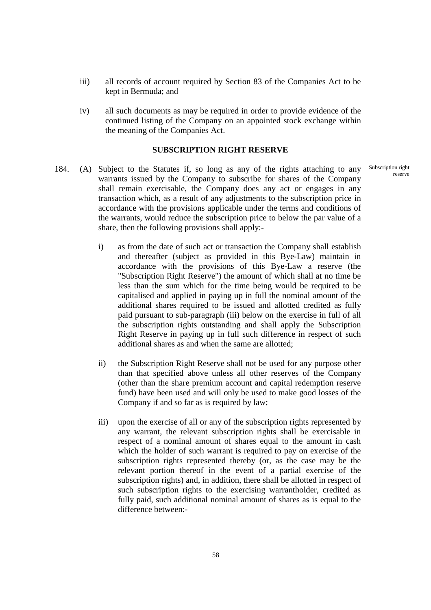- iii) all records of account required by Section 83 of the Companies Act to be kept in Bermuda; and
- iv) all such documents as may be required in order to provide evidence of the continued listing of the Company on an appointed stock exchange within the meaning of the Companies Act.

#### **SUBSCRIPTION RIGHT RESERVE**

- 184. (A) Subject to the Statutes if, so long as any of the rights attaching to any warrants issued by the Company to subscribe for shares of the Company shall remain exercisable, the Company does any act or engages in any transaction which, as a result of any adjustments to the subscription price in accordance with the provisions applicable under the terms and conditions of the warrants, would reduce the subscription price to below the par value of a share, then the following provisions shall apply:
	- i) as from the date of such act or transaction the Company shall establish and thereafter (subject as provided in this Bye-Law) maintain in accordance with the provisions of this Bye-Law a reserve (the "Subscription Right Reserve") the amount of which shall at no time be less than the sum which for the time being would be required to be capitalised and applied in paying up in full the nominal amount of the additional shares required to be issued and allotted credited as fully paid pursuant to sub-paragraph (iii) below on the exercise in full of all the subscription rights outstanding and shall apply the Subscription Right Reserve in paying up in full such difference in respect of such additional shares as and when the same are allotted;
	- ii) the Subscription Right Reserve shall not be used for any purpose other than that specified above unless all other reserves of the Company (other than the share premium account and capital redemption reserve fund) have been used and will only be used to make good losses of the Company if and so far as is required by law;
	- iii) upon the exercise of all or any of the subscription rights represented by any warrant, the relevant subscription rights shall be exercisable in respect of a nominal amount of shares equal to the amount in cash which the holder of such warrant is required to pay on exercise of the subscription rights represented thereby (or, as the case may be the relevant portion thereof in the event of a partial exercise of the subscription rights) and, in addition, there shall be allotted in respect of such subscription rights to the exercising warrantholder, credited as fully paid, such additional nominal amount of shares as is equal to the difference between:-

Subscription right reserve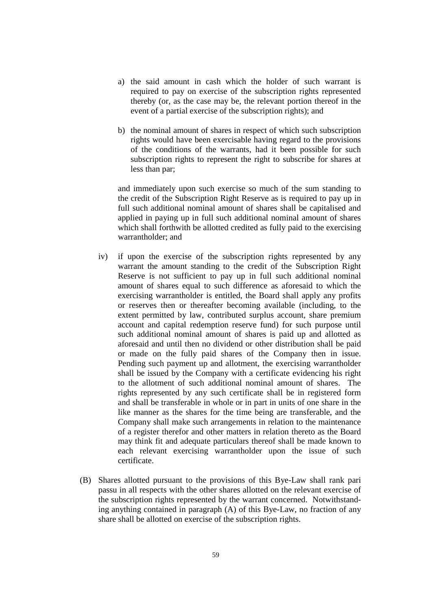- a) the said amount in cash which the holder of such warrant is required to pay on exercise of the subscription rights represented thereby (or, as the case may be, the relevant portion thereof in the event of a partial exercise of the subscription rights); and
- b) the nominal amount of shares in respect of which such subscription rights would have been exercisable having regard to the provisions of the conditions of the warrants, had it been possible for such subscription rights to represent the right to subscribe for shares at less than par;

and immediately upon such exercise so much of the sum standing to the credit of the Subscription Right Reserve as is required to pay up in full such additional nominal amount of shares shall be capitalised and applied in paying up in full such additional nominal amount of shares which shall forthwith be allotted credited as fully paid to the exercising warrantholder; and

- iv) if upon the exercise of the subscription rights represented by any warrant the amount standing to the credit of the Subscription Right Reserve is not sufficient to pay up in full such additional nominal amount of shares equal to such difference as aforesaid to which the exercising warrantholder is entitled, the Board shall apply any profits or reserves then or thereafter becoming available (including, to the extent permitted by law, contributed surplus account, share premium account and capital redemption reserve fund) for such purpose until such additional nominal amount of shares is paid up and allotted as aforesaid and until then no dividend or other distribution shall be paid or made on the fully paid shares of the Company then in issue. Pending such payment up and allotment, the exercising warrantholder shall be issued by the Company with a certificate evidencing his right to the allotment of such additional nominal amount of shares. The rights represented by any such certificate shall be in registered form and shall be transferable in whole or in part in units of one share in the like manner as the shares for the time being are transferable, and the Company shall make such arrangements in relation to the maintenance of a register therefor and other matters in relation thereto as the Board may think fit and adequate particulars thereof shall be made known to each relevant exercising warrantholder upon the issue of such certificate.
- (B) Shares allotted pursuant to the provisions of this Bye-Law shall rank pari passu in all respects with the other shares allotted on the relevant exercise of the subscription rights represented by the warrant concerned. Notwithstanding anything contained in paragraph (A) of this Bye-Law, no fraction of any share shall be allotted on exercise of the subscription rights.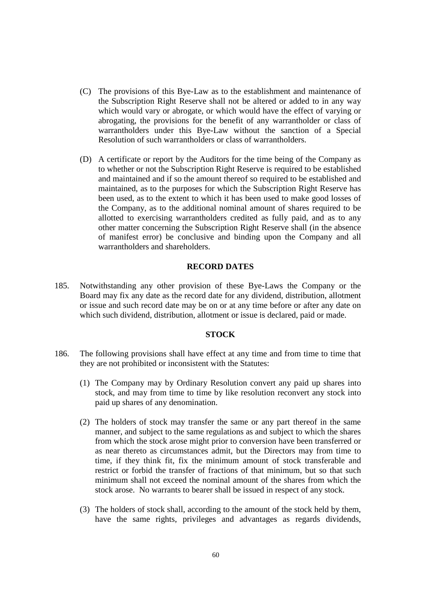- (C) The provisions of this Bye-Law as to the establishment and maintenance of the Subscription Right Reserve shall not be altered or added to in any way which would vary or abrogate, or which would have the effect of varying or abrogating, the provisions for the benefit of any warrantholder or class of warrantholders under this Bye-Law without the sanction of a Special Resolution of such warrantholders or class of warrantholders.
- (D) A certificate or report by the Auditors for the time being of the Company as to whether or not the Subscription Right Reserve is required to be established and maintained and if so the amount thereof so required to be established and maintained, as to the purposes for which the Subscription Right Reserve has been used, as to the extent to which it has been used to make good losses of the Company, as to the additional nominal amount of shares required to be allotted to exercising warrantholders credited as fully paid, and as to any other matter concerning the Subscription Right Reserve shall (in the absence of manifest error) be conclusive and binding upon the Company and all warrantholders and shareholders.

## **RECORD DATES**

 185. Notwithstanding any other provision of these Bye-Laws the Company or the Board may fix any date as the record date for any dividend, distribution, allotment or issue and such record date may be on or at any time before or after any date on which such dividend, distribution, allotment or issue is declared, paid or made.

## **STOCK**

- 186. The following provisions shall have effect at any time and from time to time that they are not prohibited or inconsistent with the Statutes:
	- (1) The Company may by Ordinary Resolution convert any paid up shares into stock, and may from time to time by like resolution reconvert any stock into paid up shares of any denomination.
	- (2) The holders of stock may transfer the same or any part thereof in the same manner, and subject to the same regulations as and subject to which the shares from which the stock arose might prior to conversion have been transferred or as near thereto as circumstances admit, but the Directors may from time to time, if they think fit, fix the minimum amount of stock transferable and restrict or forbid the transfer of fractions of that minimum, but so that such minimum shall not exceed the nominal amount of the shares from which the stock arose. No warrants to bearer shall be issued in respect of any stock.
	- (3) The holders of stock shall, according to the amount of the stock held by them, have the same rights, privileges and advantages as regards dividends,